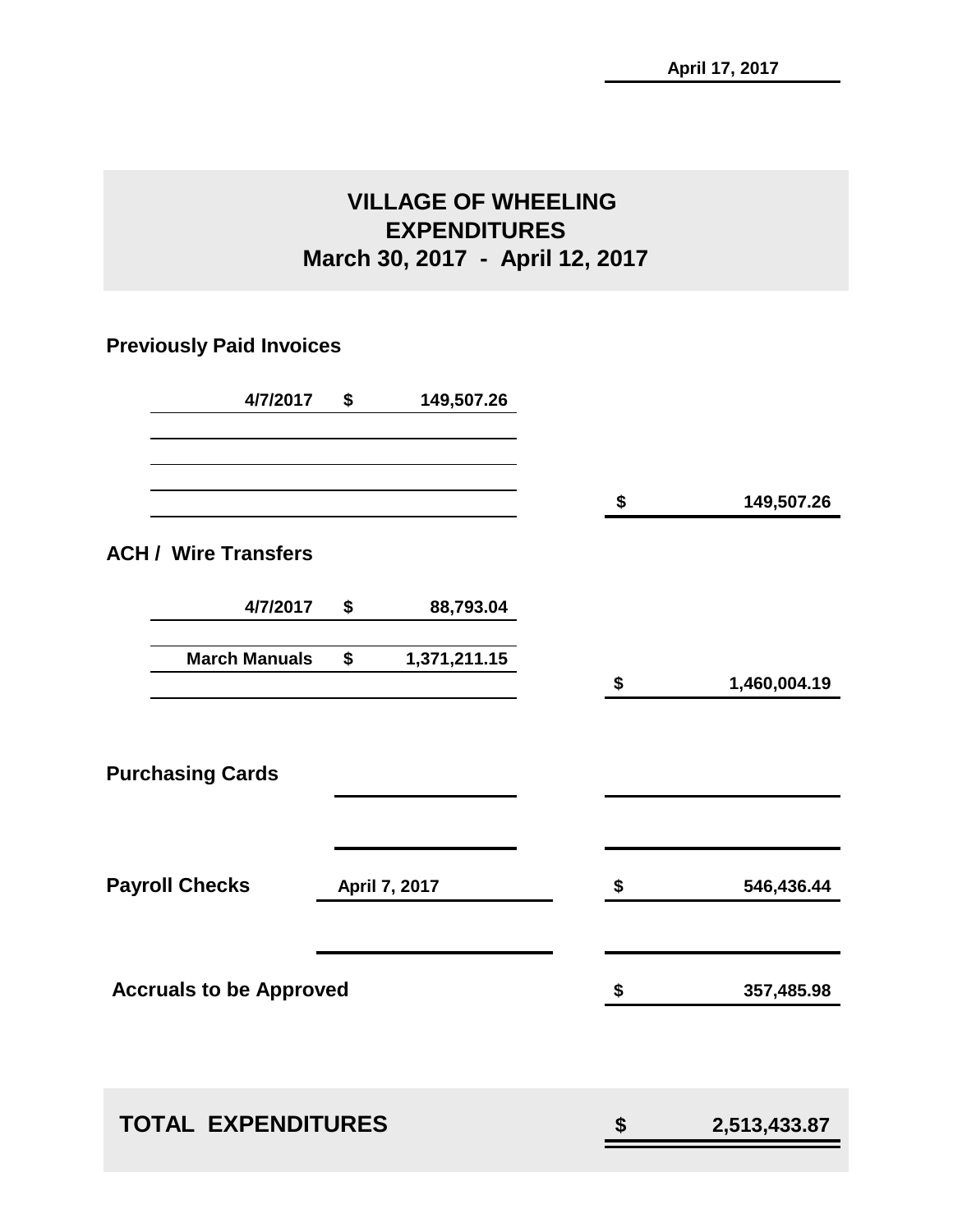### **VILLAGE OF WHEELING EXPENDITURES March 30, 2017 - April 12, 2017**

### **Previously Paid Invoices**

| 4/7/2017                       | \$<br>149,507.26   |                    |
|--------------------------------|--------------------|--------------------|
|                                |                    | \$<br>149,507.26   |
| <b>ACH / Wire Transfers</b>    |                    |                    |
| 4/7/2017                       | \$<br>88,793.04    |                    |
| <b>March Manuals</b>           | \$<br>1,371,211.15 | \$<br>1,460,004.19 |
| <b>Purchasing Cards</b>        |                    |                    |
| <b>Payroll Checks</b>          | April 7, 2017      | \$<br>546,436.44   |
| <b>Accruals to be Approved</b> |                    | \$<br>357,485.98   |
|                                |                    |                    |
| <b>TOTAL EXPENDITURES</b>      |                    | \$<br>2,513,433.87 |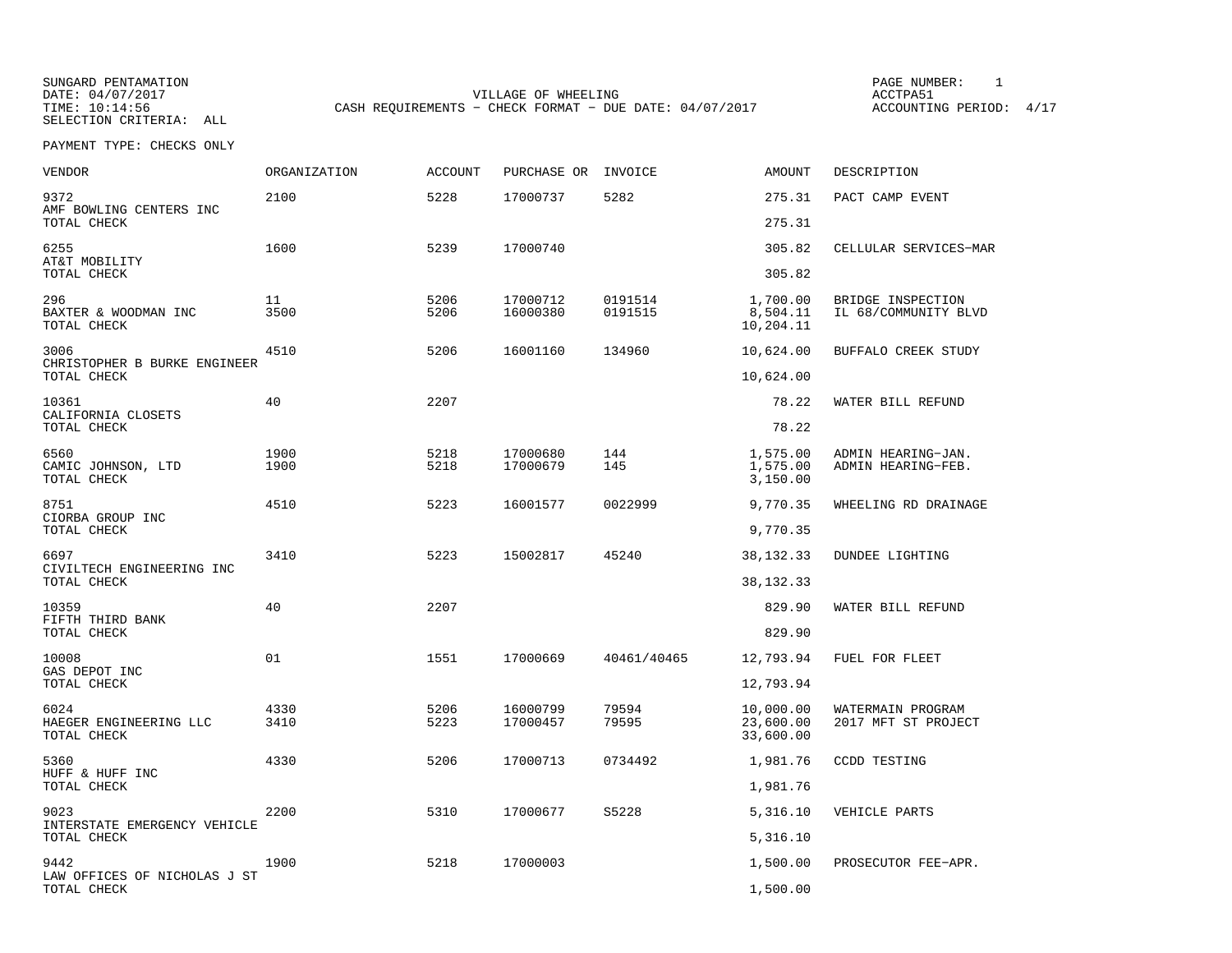SELECTION CRITERIA: ALL

SUNGARD PENTAMATION PAGE NUMBER: 1VILLAGE OF WHEELING **ACCTPA51** TIME: 10:14:56 CASH REQUIREMENTS - CHECK FORMAT - DUE DATE: 04/07/2017

ACCOUNTING PERIOD: 4/17

| VENDOR                                        | <b>ORGANIZATION</b> | <b>ACCOUNT</b> | PURCHASE OR          | INVOICE            | <b>AMOUNT</b>                       | DESCRIPTION                               |
|-----------------------------------------------|---------------------|----------------|----------------------|--------------------|-------------------------------------|-------------------------------------------|
| 9372<br>AMF BOWLING CENTERS INC               | 2100                | 5228           | 17000737             | 5282               | 275.31                              | PACT CAMP EVENT                           |
| TOTAL CHECK                                   |                     |                |                      |                    | 275.31                              |                                           |
| 6255<br>AT&T MOBILITY                         | 1600                | 5239           | 17000740             |                    | 305.82                              | CELLULAR SERVICES-MAR                     |
| TOTAL CHECK                                   |                     |                |                      |                    | 305.82                              |                                           |
| 296<br>BAXTER & WOODMAN INC<br>TOTAL CHECK    | 11<br>3500          | 5206<br>5206   | 17000712<br>16000380 | 0191514<br>0191515 | 1,700.00<br>8,504.11<br>10,204.11   | BRIDGE INSPECTION<br>IL 68/COMMUNITY BLVD |
| 3006<br>CHRISTOPHER B BURKE ENGINEER          | 4510                | 5206           | 16001160             | 134960             | 10,624.00                           | BUFFALO CREEK STUDY                       |
| TOTAL CHECK                                   |                     |                |                      |                    | 10,624.00                           |                                           |
| 10361<br>CALIFORNIA CLOSETS                   | 40                  | 2207           |                      |                    | 78.22                               | WATER BILL REFUND                         |
| TOTAL CHECK                                   |                     |                |                      |                    | 78.22                               |                                           |
| 6560<br>CAMIC JOHNSON, LTD<br>TOTAL CHECK     | 1900<br>1900        | 5218<br>5218   | 17000680<br>17000679 | 144<br>145         | 1,575.00<br>1,575.00<br>3,150.00    | ADMIN HEARING-JAN.<br>ADMIN HEARING-FEB.  |
| 8751<br>CIORBA GROUP INC                      | 4510                | 5223           | 16001577             | 0022999            | 9,770.35                            | WHEELING RD DRAINAGE                      |
| TOTAL CHECK                                   |                     |                |                      |                    | 9,770.35                            |                                           |
| 6697<br>CIVILTECH ENGINEERING INC             | 3410                | 5223           | 15002817             | 45240              | 38, 132. 33                         | <b>DUNDEE LIGHTING</b>                    |
| TOTAL CHECK                                   |                     |                |                      |                    | 38, 132. 33                         |                                           |
| 10359<br>FIFTH THIRD BANK                     | 40                  | 2207           |                      |                    | 829.90                              | WATER BILL REFUND                         |
| TOTAL CHECK                                   |                     |                |                      |                    | 829.90                              |                                           |
| 10008<br>GAS DEPOT INC                        | 01                  | 1551           | 17000669             | 40461/40465        | 12,793.94                           | FUEL FOR FLEET                            |
| TOTAL CHECK                                   |                     |                |                      |                    | 12,793.94                           |                                           |
| 6024<br>HAEGER ENGINEERING LLC<br>TOTAL CHECK | 4330<br>3410        | 5206<br>5223   | 16000799<br>17000457 | 79594<br>79595     | 10,000.00<br>23,600.00<br>33,600.00 | WATERMAIN PROGRAM<br>2017 MFT ST PROJECT  |
| 5360<br>HUFF & HUFF INC                       | 4330                | 5206           | 17000713             | 0734492            | 1,981.76                            | CCDD TESTING                              |
| TOTAL CHECK                                   |                     |                |                      |                    | 1,981.76                            |                                           |
| 9023<br>INTERSTATE EMERGENCY VEHICLE          | 2200                | 5310           | 17000677             | S5228              | 5,316.10                            | VEHICLE PARTS                             |
| TOTAL CHECK                                   |                     |                |                      |                    | 5,316.10                            |                                           |
| 9442<br>LAW OFFICES OF NICHOLAS J ST          | 1900                | 5218           | 17000003             |                    | 1,500.00                            | PROSECUTOR FEE-APR.                       |
| TOTAL CHECK                                   |                     |                |                      |                    | 1,500.00                            |                                           |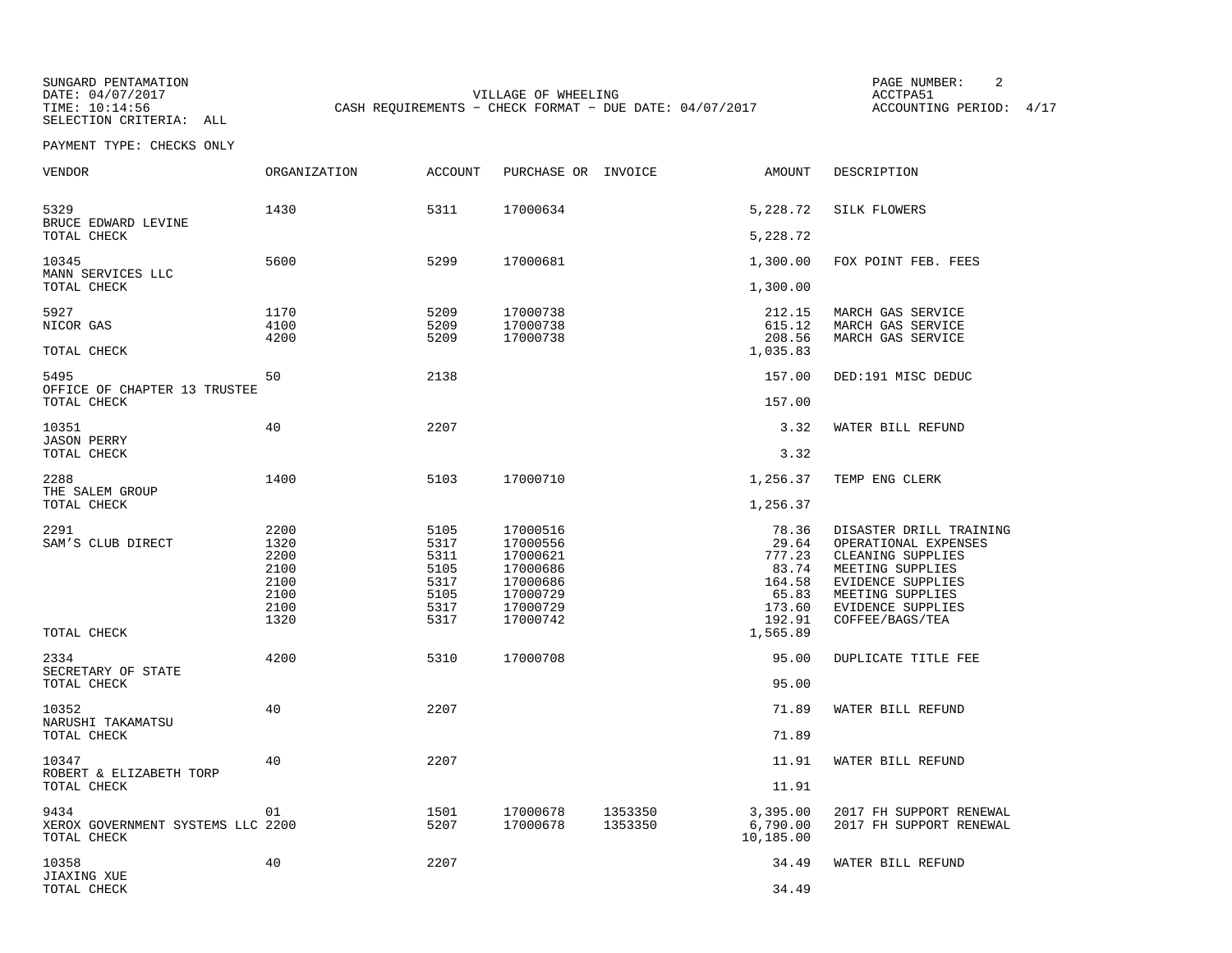SUNGARD PENTAMATION SUNGARD PENTAMATION SUNG PAGE NUMBER: 2 SELECTION CRITERIA: ALL

VILLAGE OF WHEELING **ACCTPA51** TIME: 10:14:56 CASH REQUIREMENTS - CHECK FORMAT - DUE DATE: 04/07/2017

ACCOUNTING PERIOD: 4/17

| <b>VENDOR</b>                                            | <b>ORGANIZATION</b>                                          | <b>ACCOUNT</b>                                               | PURCHASE OR INVOICE                                                                          |                    | AMOUNT                                                                   | DESCRIPTION                                                                                                                                                                      |
|----------------------------------------------------------|--------------------------------------------------------------|--------------------------------------------------------------|----------------------------------------------------------------------------------------------|--------------------|--------------------------------------------------------------------------|----------------------------------------------------------------------------------------------------------------------------------------------------------------------------------|
| 5329<br>BRUCE EDWARD LEVINE                              | 1430                                                         | 5311                                                         | 17000634                                                                                     |                    | 5,228.72                                                                 | SILK FLOWERS                                                                                                                                                                     |
| TOTAL CHECK                                              |                                                              |                                                              |                                                                                              |                    | 5,228.72                                                                 |                                                                                                                                                                                  |
| 10345<br>MANN SERVICES LLC                               | 5600                                                         | 5299                                                         | 17000681                                                                                     |                    | 1,300.00                                                                 | FOX POINT FEB. FEES                                                                                                                                                              |
| TOTAL CHECK                                              |                                                              |                                                              |                                                                                              |                    | 1,300.00                                                                 |                                                                                                                                                                                  |
| 5927<br>NICOR GAS<br>TOTAL CHECK                         | 1170<br>4100<br>4200                                         | 5209<br>5209<br>5209                                         | 17000738<br>17000738<br>17000738                                                             |                    | 212.15<br>615.12<br>208.56<br>1,035.83                                   | MARCH GAS SERVICE<br>MARCH GAS SERVICE<br>MARCH GAS SERVICE                                                                                                                      |
| 5495                                                     | 50                                                           | 2138                                                         |                                                                                              |                    | 157.00                                                                   | DED:191 MISC DEDUC                                                                                                                                                               |
| OFFICE OF CHAPTER 13 TRUSTEE<br>TOTAL CHECK              |                                                              |                                                              |                                                                                              |                    | 157.00                                                                   |                                                                                                                                                                                  |
| 10351<br><b>JASON PERRY</b>                              | 40                                                           | 2207                                                         |                                                                                              |                    | 3.32                                                                     | WATER BILL REFUND                                                                                                                                                                |
| TOTAL CHECK                                              |                                                              |                                                              |                                                                                              |                    | 3.32                                                                     |                                                                                                                                                                                  |
| 2288<br>THE SALEM GROUP                                  | 1400                                                         | 5103                                                         | 17000710                                                                                     |                    | 1,256.37                                                                 | TEMP ENG CLERK                                                                                                                                                                   |
| TOTAL CHECK                                              |                                                              |                                                              |                                                                                              |                    | 1,256.37                                                                 |                                                                                                                                                                                  |
| 2291<br>SAM'S CLUB DIRECT                                | 2200<br>1320<br>2200<br>2100<br>2100<br>2100<br>2100<br>1320 | 5105<br>5317<br>5311<br>5105<br>5317<br>5105<br>5317<br>5317 | 17000516<br>17000556<br>17000621<br>17000686<br>17000686<br>17000729<br>17000729<br>17000742 |                    | 78.36<br>29.64<br>777.23<br>83.74<br>164.58<br>65.83<br>173.60<br>192.91 | DISASTER DRILL TRAINING<br>OPERATIONAL EXPENSES<br>CLEANING SUPPLIES<br>MEETING SUPPLIES<br><b>EVIDENCE SUPPLIES</b><br>MEETING SUPPLIES<br>EVIDENCE SUPPLIES<br>COFFEE/BAGS/TEA |
| TOTAL CHECK                                              |                                                              |                                                              |                                                                                              |                    | 1,565.89                                                                 |                                                                                                                                                                                  |
| 2334<br>SECRETARY OF STATE                               | 4200                                                         | 5310                                                         | 17000708                                                                                     |                    | 95.00                                                                    | DUPLICATE TITLE FEE                                                                                                                                                              |
| TOTAL CHECK                                              |                                                              |                                                              |                                                                                              |                    | 95.00                                                                    |                                                                                                                                                                                  |
| 10352<br>NARUSHI TAKAMATSU                               | 40                                                           | 2207                                                         |                                                                                              |                    | 71.89                                                                    | WATER BILL REFUND                                                                                                                                                                |
| TOTAL CHECK                                              |                                                              |                                                              |                                                                                              |                    | 71.89                                                                    |                                                                                                                                                                                  |
| 10347<br>ROBERT & ELIZABETH TORP                         | 40                                                           | 2207                                                         |                                                                                              |                    | 11.91                                                                    | WATER BILL REFUND                                                                                                                                                                |
| TOTAL CHECK                                              |                                                              |                                                              |                                                                                              |                    | 11.91                                                                    |                                                                                                                                                                                  |
| 9434<br>XEROX GOVERNMENT SYSTEMS LLC 2200<br>TOTAL CHECK | 01                                                           | 1501<br>5207                                                 | 17000678<br>17000678                                                                         | 1353350<br>1353350 | 3,395.00<br>6,790.00<br>10,185.00                                        | 2017 FH SUPPORT RENEWAL<br>2017 FH SUPPORT RENEWAL                                                                                                                               |
| 10358<br>JIAXING XUE                                     | 40                                                           | 2207                                                         |                                                                                              |                    | 34.49                                                                    | WATER BILL REFUND                                                                                                                                                                |
| TOTAL CHECK                                              |                                                              |                                                              |                                                                                              |                    | 34.49                                                                    |                                                                                                                                                                                  |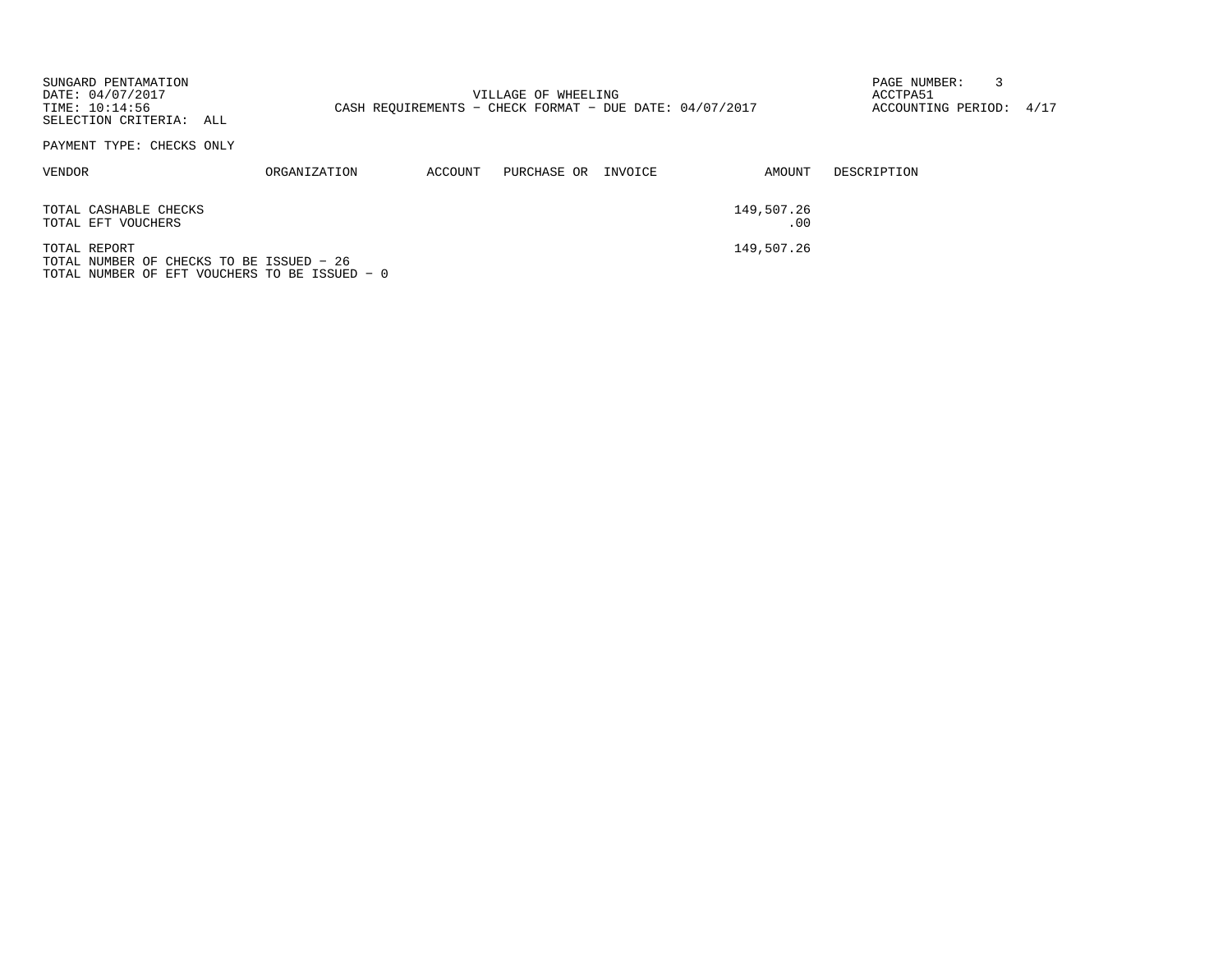| SUNGARD PENTAMATION<br>DATE: 04/07/2017<br>TIME: 10:14:56<br>SELECTION CRITERIA: ALL                      |              |         | VILLAGE OF WHEELING<br>CASH REOUIREMENTS - CHECK FORMAT - DUE DATE: $04/07/2017$ |                   | PAGE NUMBER:<br>ACCTPA51<br>ACCOUNTING PERIOD: 4/17 |  |
|-----------------------------------------------------------------------------------------------------------|--------------|---------|----------------------------------------------------------------------------------|-------------------|-----------------------------------------------------|--|
| PAYMENT TYPE: CHECKS ONLY                                                                                 |              |         |                                                                                  |                   |                                                     |  |
| VENDOR                                                                                                    | ORGANIZATION | ACCOUNT | PURCHASE OR INVOICE                                                              | AMOUNT            | DESCRIPTION                                         |  |
| TOTAL CASHABLE CHECKS<br>TOTAL EFT VOUCHERS                                                               |              |         |                                                                                  | 149,507.26<br>.00 |                                                     |  |
| TOTAL REPORT<br>TOTAL NUMBER OF CHECKS TO BE ISSUED - 26<br>TOTAL NUMBER OF EFT VOUCHERS TO BE ISSUED - 0 |              |         |                                                                                  | 149,507.26        |                                                     |  |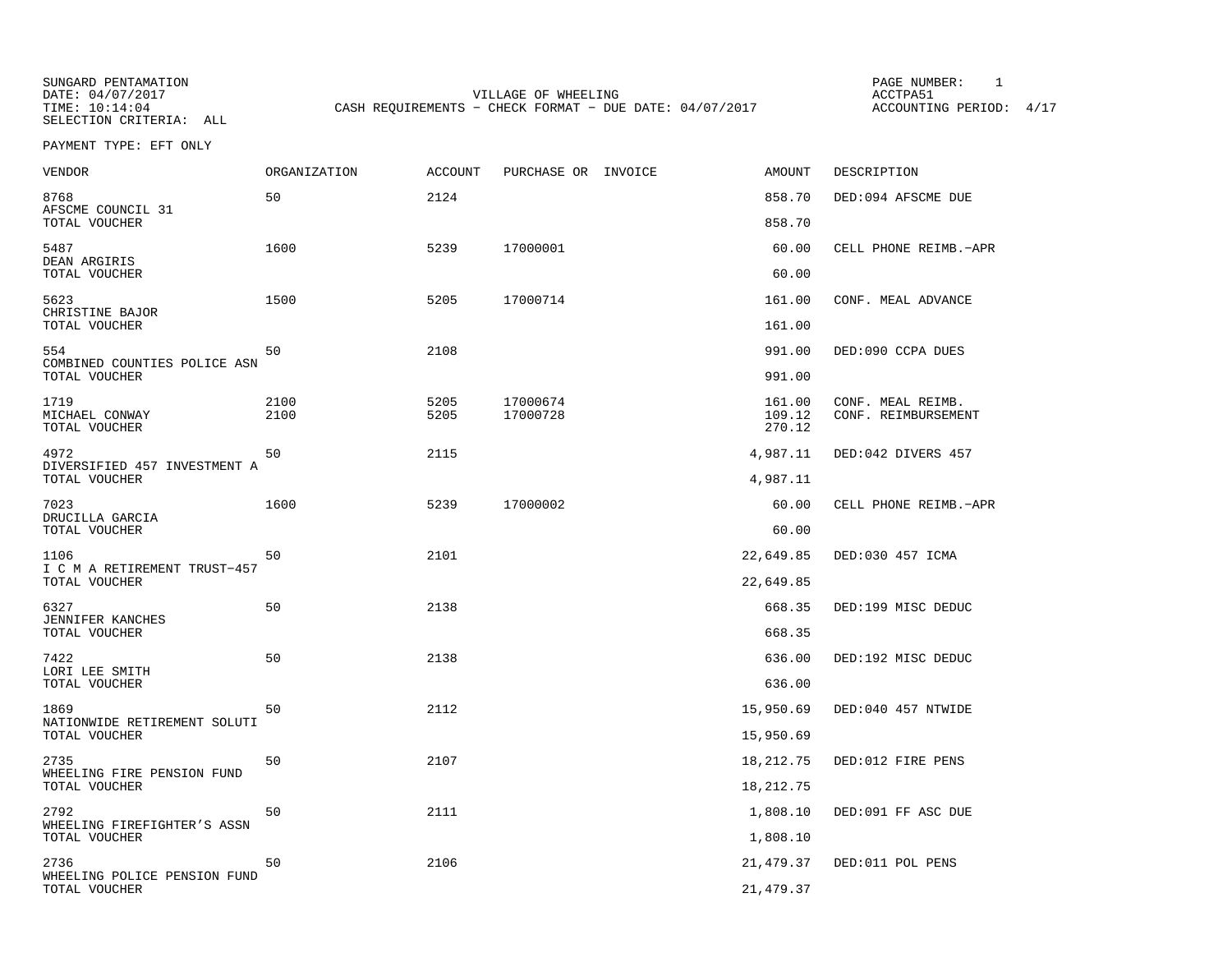SELECTION CRITERIA: ALL

SUNGARD PENTAMATION PAGE NUMBER: 1VILLAGE OF WHEELING **ACCTPA51** TIME:  $10:14:04$  CASH REQUIREMENTS - CHECK FORMAT - DUE DATE: 04/07/2017

ACCOUNTING PERIOD: 4/17

PAYMENT TYPE: EFT ONLY

| <b>VENDOR</b>                                 | ORGANIZATION | ACCOUNT      | PURCHASE OR INVOICE  | AMOUNT           | DESCRIPTION                              |
|-----------------------------------------------|--------------|--------------|----------------------|------------------|------------------------------------------|
| 8768<br>AFSCME COUNCIL 31                     | 50           | 2124         |                      | 858.70           | DED:094 AFSCME DUE                       |
| TOTAL VOUCHER                                 |              |              |                      | 858.70           |                                          |
| 5487<br>DEAN ARGIRIS<br>TOTAL VOUCHER         | 1600         | 5239         | 17000001             | 60.00<br>60.00   | CELL PHONE REIMB.-APR                    |
| 5623                                          | 1500         | 5205         | 17000714             | 161.00           | CONF. MEAL ADVANCE                       |
| CHRISTINE BAJOR<br>TOTAL VOUCHER              |              |              |                      | 161.00           |                                          |
| 554                                           | 50           | 2108         |                      | 991.00           | DED:090 CCPA DUES                        |
| COMBINED COUNTIES POLICE ASN<br>TOTAL VOUCHER |              |              |                      | 991.00           |                                          |
| 1719<br>MICHAEL CONWAY                        | 2100<br>2100 | 5205<br>5205 | 17000674<br>17000728 | 161.00<br>109.12 | CONF. MEAL REIMB.<br>CONF. REIMBURSEMENT |
| TOTAL VOUCHER                                 |              |              |                      | 270.12           |                                          |
| 4972<br>DIVERSIFIED 457 INVESTMENT A          | 50           | 2115         |                      | 4,987.11         | DED:042 DIVERS 457                       |
| TOTAL VOUCHER                                 |              |              |                      | 4,987.11         |                                          |
| 7023<br>DRUCILLA GARCIA                       | 1600         | 5239         | 17000002             | 60.00            | CELL PHONE REIMB.-APR                    |
| TOTAL VOUCHER                                 |              |              |                      | 60.00            |                                          |
| 1106<br>I C M A RETIREMENT TRUST-457          | 50           | 2101         |                      | 22,649.85        | DED:030 457 ICMA                         |
| TOTAL VOUCHER                                 |              |              |                      | 22,649.85        |                                          |
| 6327                                          | 50           | 2138         |                      | 668.35           | DED:199 MISC DEDUC                       |
| JENNIFER KANCHES<br>TOTAL VOUCHER             |              |              |                      | 668.35           |                                          |
| 7422                                          | 50           | 2138         |                      | 636.00           | DED:192 MISC DEDUC                       |
| LORI LEE SMITH<br>TOTAL VOUCHER               |              |              |                      | 636.00           |                                          |
| 1869                                          | 50           | 2112         |                      | 15,950.69        | DED:040 457 NTWIDE                       |
| NATIONWIDE RETIREMENT SOLUTI<br>TOTAL VOUCHER |              |              |                      | 15,950.69        |                                          |
| 2735                                          | 50           | 2107         |                      | 18,212.75        | DED:012 FIRE PENS                        |
| WHEELING FIRE PENSION FUND<br>TOTAL VOUCHER   |              |              |                      | 18,212.75        |                                          |
| 2792                                          | 50           | 2111         |                      | 1,808.10         | DED:091 FF ASC DUE                       |
| WHEELING FIREFIGHTER'S ASSN<br>TOTAL VOUCHER  |              |              |                      | 1,808.10         |                                          |
| 2736                                          | 50           | 2106         |                      | 21,479.37        | DED:011 POL PENS                         |
| WHEELING POLICE PENSION FUND<br>TOTAL VOUCHER |              |              |                      | 21, 479.37       |                                          |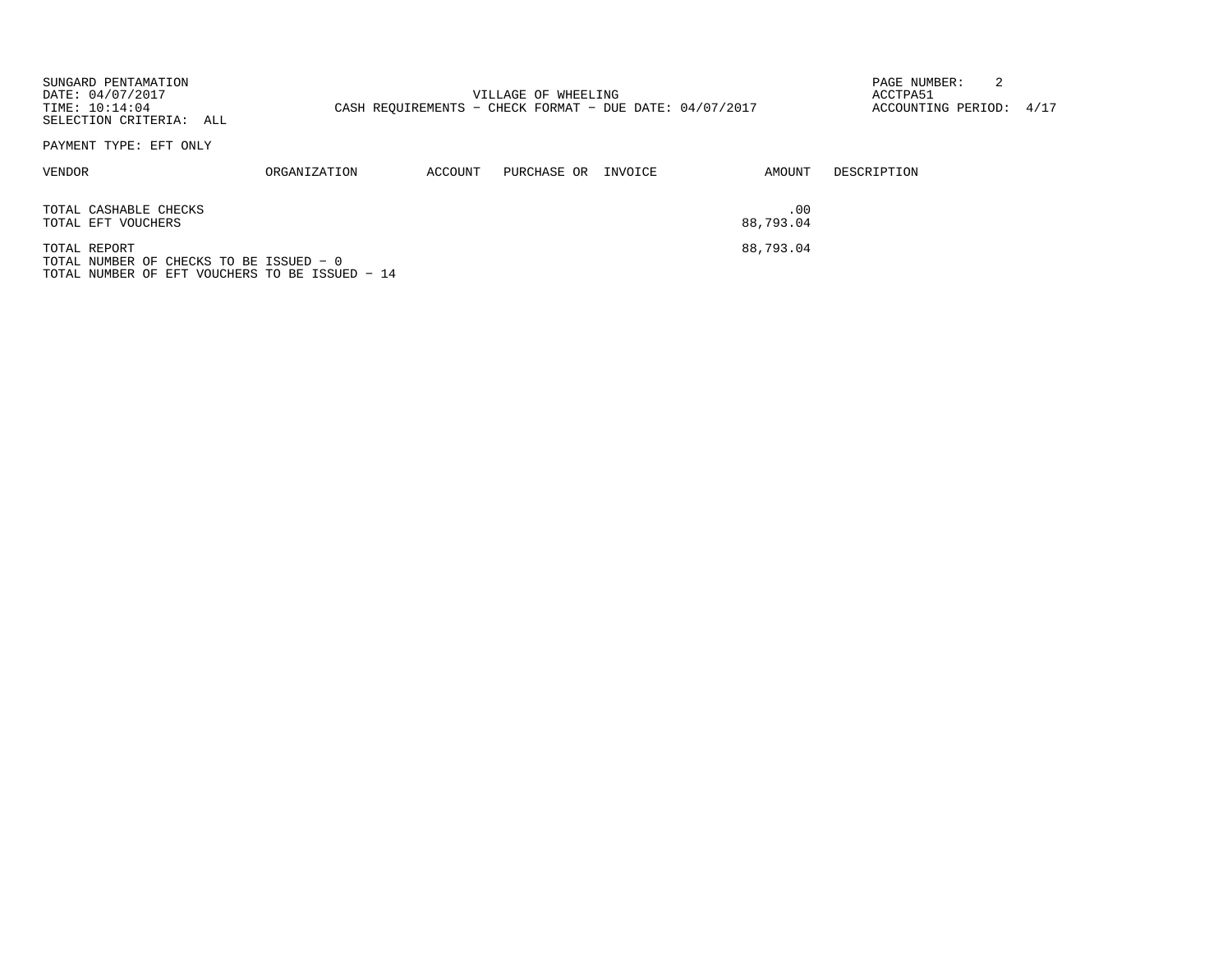| SUNGARD PENTAMATION<br>DATE: 04/07/2017<br>TIME: 10:14:04<br>SELECTION CRITERIA: ALL                      |                     |         | VILLAGE OF WHEELING<br>CASH REOUIREMENTS - CHECK FORMAT - DUE DATE: $04/07/2017$ |         |                  | 2<br>PAGE NUMBER:<br>ACCTPA51<br>ACCOUNTING PERIOD: 4/17 |  |
|-----------------------------------------------------------------------------------------------------------|---------------------|---------|----------------------------------------------------------------------------------|---------|------------------|----------------------------------------------------------|--|
| PAYMENT TYPE: EFT ONLY                                                                                    |                     |         |                                                                                  |         |                  |                                                          |  |
| VENDOR                                                                                                    | <b>ORGANIZATION</b> | ACCOUNT | PURCHASE OR                                                                      | INVOICE | AMOUNT           | DESCRIPTION                                              |  |
| TOTAL CASHABLE CHECKS<br>TOTAL EFT VOUCHERS                                                               |                     |         |                                                                                  |         | .00<br>88,793.04 |                                                          |  |
| TOTAL REPORT<br>TOTAL NUMBER OF CHECKS TO BE ISSUED - 0<br>TOTAL NUMBER OF EFT VOUCHERS TO BE ISSUED - 14 |                     |         |                                                                                  |         | 88,793.04        |                                                          |  |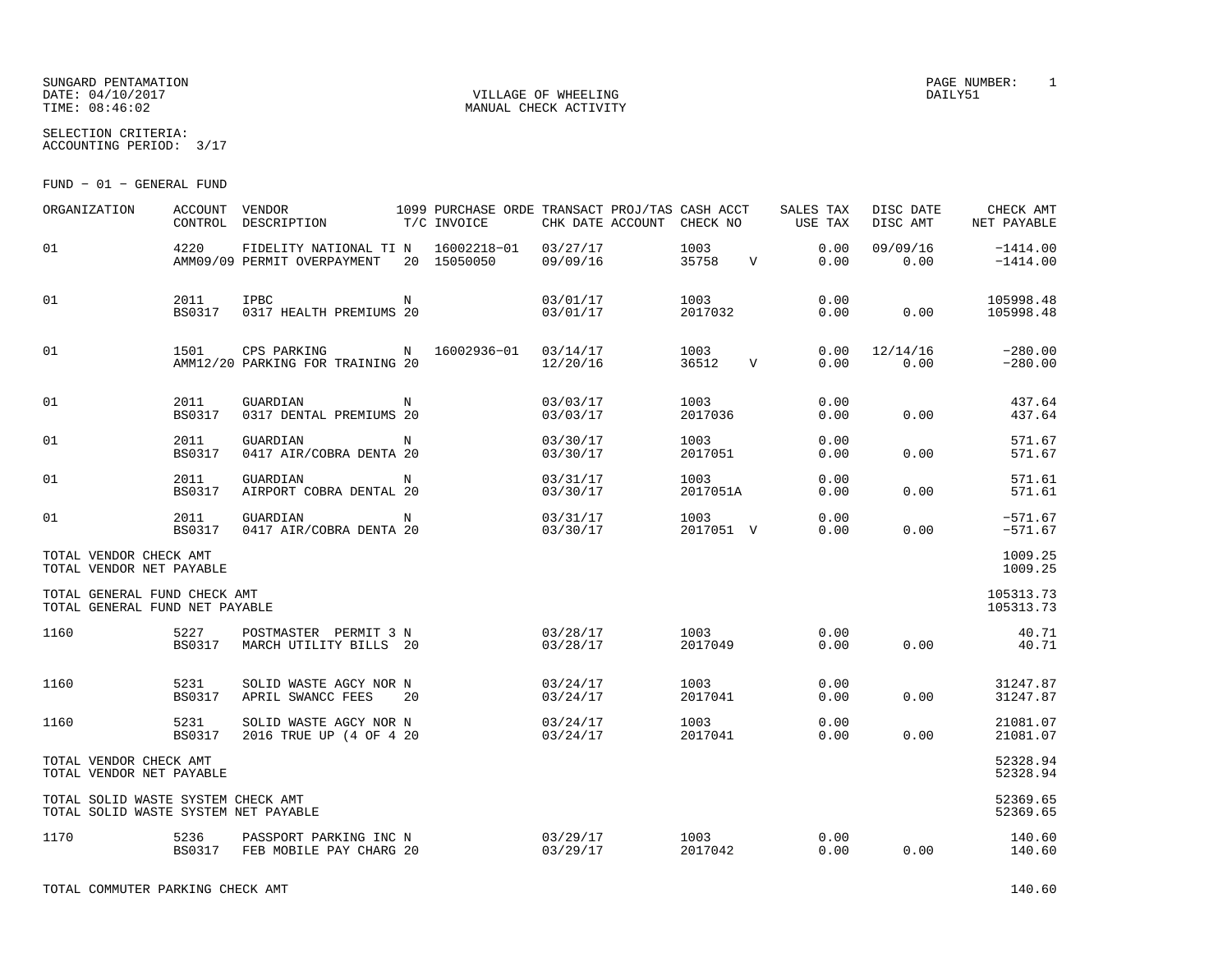SUNGARD PENTAMATION SUNGARD PENTAMATION SUNGARD PAGE NUMBER: 1 DATE: 04/10/2017 VILLAGE OF WHEELING DAILY51

SELECTION CRITERIA:ACCOUNTING PERIOD: 3/17

FUND − 01 − GENERAL FUND

| ORGANIZATION                                                               | <b>ACCOUNT</b>        | VENDOR<br>CONTROL DESCRIPTION                                     |            | 1099 PURCHASE ORDE TRANSACT PROJ/TAS CASH ACCT<br>T/C INVOICE | CHK DATE ACCOUNT     | CHECK NO          |             | SALES TAX<br>USE TAX | DISC DATE<br>DISC AMT | CHECK AMT<br>NET PAYABLE |
|----------------------------------------------------------------------------|-----------------------|-------------------------------------------------------------------|------------|---------------------------------------------------------------|----------------------|-------------------|-------------|----------------------|-----------------------|--------------------------|
| 01                                                                         | 4220                  | FIDELITY NATIONAL TI N 16002218-01<br>AMM09/09 PERMIT OVERPAYMENT |            | 20 15050050                                                   | 03/27/17<br>09/09/16 | 1003<br>35758     | $\mathbf V$ | 0.00<br>0.00         | 09/09/16<br>0.00      | $-1414.00$<br>$-1414.00$ |
| 01                                                                         | 2011<br><b>BS0317</b> | <b>IPBC</b><br>0317 HEALTH PREMIUMS 20                            | $_{\rm N}$ |                                                               | 03/01/17<br>03/01/17 | 1003<br>2017032   |             | 0.00<br>0.00         | 0.00                  | 105998.48<br>105998.48   |
| 01                                                                         | 1501                  | CPS PARKING<br>AMM12/20 PARKING FOR TRAINING 20                   |            | N 16002936-01 03/14/17                                        | 12/20/16             | 1003<br>36512     | $\mathbf V$ | 0.00<br>0.00         | 12/14/16<br>0.00      | $-280.00$<br>$-280.00$   |
| 01                                                                         | 2011<br><b>BS0317</b> | GUARDIAN<br>0317 DENTAL PREMIUMS 20                               | N          |                                                               | 03/03/17<br>03/03/17 | 1003<br>2017036   |             | 0.00<br>0.00         | 0.00                  | 437.64<br>437.64         |
| 01                                                                         | 2011<br><b>BS0317</b> | GUARDIAN<br>0417 AIR/COBRA DENTA 20                               | $_{\rm N}$ |                                                               | 03/30/17<br>03/30/17 | 1003<br>2017051   |             | 0.00<br>0.00         | 0.00                  | 571.67<br>571.67         |
| 01                                                                         | 2011<br><b>BS0317</b> | GUARDIAN<br>AIRPORT COBRA DENTAL 20                               | N          |                                                               | 03/31/17<br>03/30/17 | 1003<br>2017051A  |             | 0.00<br>0.00         | 0.00                  | 571.61<br>571.61         |
| 01                                                                         | 2011<br><b>BS0317</b> | GUARDIAN<br>0417 AIR/COBRA DENTA 20                               | N          |                                                               | 03/31/17<br>03/30/17 | 1003<br>2017051 V |             | 0.00<br>0.00         | 0.00                  | $-571.67$<br>$-571.67$   |
| TOTAL VENDOR CHECK AMT<br>TOTAL VENDOR NET PAYABLE                         |                       |                                                                   |            |                                                               |                      |                   |             |                      |                       | 1009.25<br>1009.25       |
| TOTAL GENERAL FUND CHECK AMT<br>TOTAL GENERAL FUND NET PAYABLE             |                       |                                                                   |            |                                                               |                      |                   |             |                      |                       | 105313.73<br>105313.73   |
| 1160                                                                       | 5227<br><b>BS0317</b> | POSTMASTER PERMIT 3 N<br>MARCH UTILITY BILLS 20                   |            |                                                               | 03/28/17<br>03/28/17 | 1003<br>2017049   |             | 0.00<br>0.00         | 0.00                  | 40.71<br>40.71           |
| 1160                                                                       | 5231<br><b>BS0317</b> | SOLID WASTE AGCY NOR N<br>APRIL SWANCC FEES                       | 20         |                                                               | 03/24/17<br>03/24/17 | 1003<br>2017041   |             | 0.00<br>0.00         | 0.00                  | 31247.87<br>31247.87     |
| 1160                                                                       | 5231<br>BS0317        | SOLID WASTE AGCY NOR N<br>2016 TRUE UP (4 OF 4 20                 |            |                                                               | 03/24/17<br>03/24/17 | 1003<br>2017041   |             | 0.00<br>0.00         | 0.00                  | 21081.07<br>21081.07     |
| TOTAL VENDOR CHECK AMT<br>TOTAL VENDOR NET PAYABLE                         |                       |                                                                   |            |                                                               |                      |                   |             |                      |                       | 52328.94<br>52328.94     |
| TOTAL SOLID WASTE SYSTEM CHECK AMT<br>TOTAL SOLID WASTE SYSTEM NET PAYABLE |                       |                                                                   |            |                                                               |                      |                   |             |                      |                       | 52369.65<br>52369.65     |
| 1170                                                                       | 5236<br>BS0317        | PASSPORT PARKING INC N<br>FEB MOBILE PAY CHARG 20                 |            |                                                               | 03/29/17<br>03/29/17 | 1003<br>2017042   |             | 0.00<br>0.00         | 0.00                  | 140.60<br>140.60         |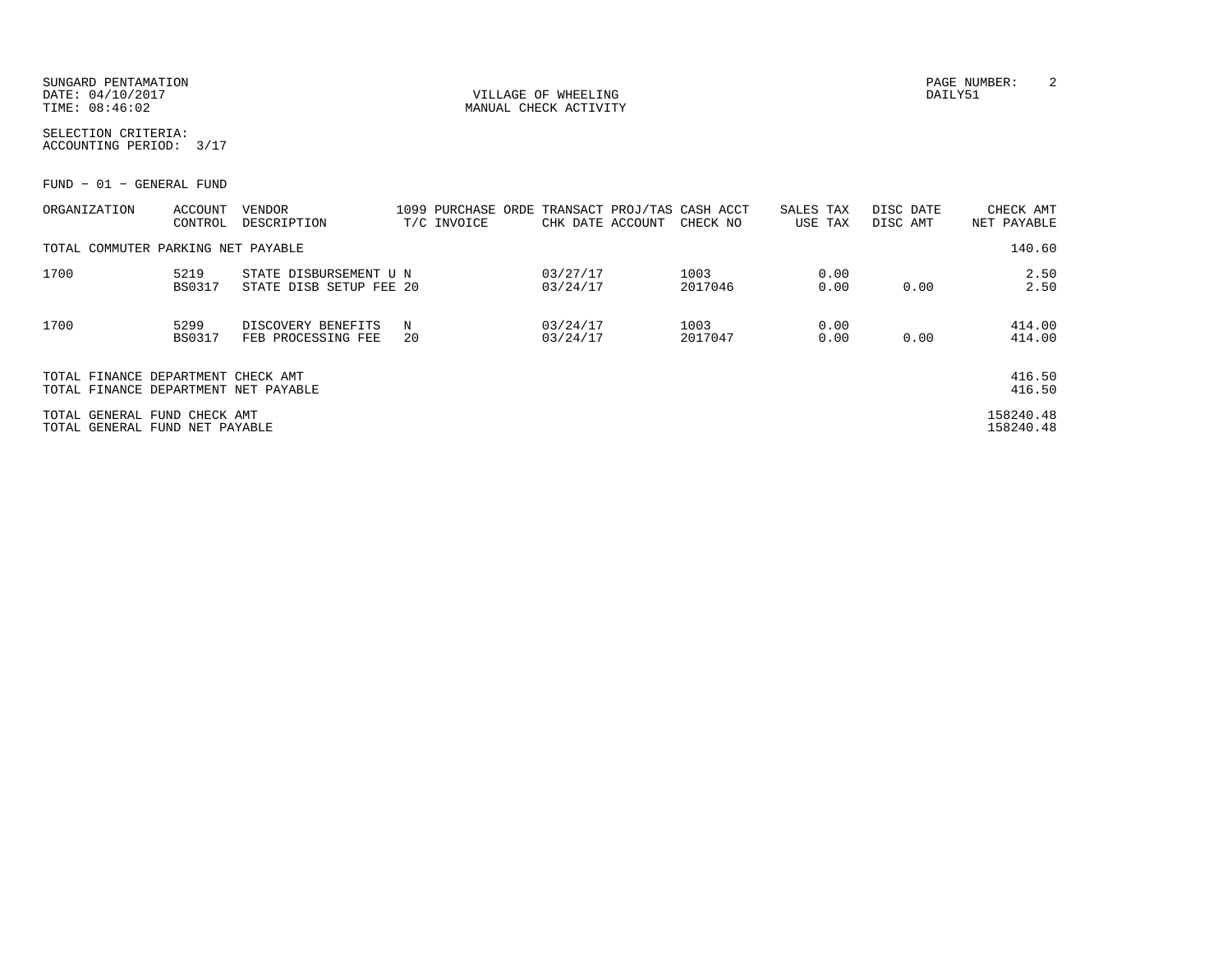SUNGARD PENTAMATION PAGE NUMBER: 2DATE:  $04/10/2017$  DAILY51 TIME:  $08:46:02$  MANUAL CHECK ACTIVITY

SELECTION CRITERIA:ACCOUNTING PERIOD: 3/17

FUND − 01 − GENERAL FUND

| ORGANIZATION                                                               | ACCOUNT<br>CONTROL    | <b>VENDOR</b><br>DESCRIPTION                      |         | 1099 PURCHASE ORDE<br>T/C INVOICE | CHK DATE ACCOUNT     | TRANSACT PROJ/TAS CASH ACCT<br>CHECK NO | SALES TAX<br>USE TAX |              | DISC DATE<br>DISC AMT | CHECK AMT<br>NET PAYABLE |
|----------------------------------------------------------------------------|-----------------------|---------------------------------------------------|---------|-----------------------------------|----------------------|-----------------------------------------|----------------------|--------------|-----------------------|--------------------------|
| TOTAL COMMUTER PARKING NET PAYABLE                                         |                       |                                                   |         |                                   |                      |                                         |                      |              |                       | 140.60                   |
| 1700                                                                       | 5219<br><b>BS0317</b> | STATE DISBURSEMENT U N<br>STATE DISB SETUP FEE 20 |         |                                   | 03/27/17<br>03/24/17 | 1003<br>2017046                         |                      | 0.00<br>0.00 | 0.00                  | 2.50<br>2.50             |
| 1700                                                                       | 5299<br><b>BS0317</b> | DISCOVERY BENEFITS<br>FEB PROCESSING FEE          | N<br>20 |                                   | 03/24/17<br>03/24/17 | 1003<br>2017047                         |                      | 0.00<br>0.00 | 0.00                  | 414.00<br>414.00         |
| TOTAL FINANCE DEPARTMENT CHECK AMT<br>TOTAL FINANCE DEPARTMENT NET PAYABLE |                       |                                                   |         |                                   |                      |                                         |                      |              |                       | 416.50<br>416.50         |
| TOTAL GENERAL FUND CHECK AMT<br>TOTAL GENERAL FUND NET PAYABLE             |                       |                                                   |         |                                   |                      |                                         |                      |              |                       | 158240.48<br>158240.48   |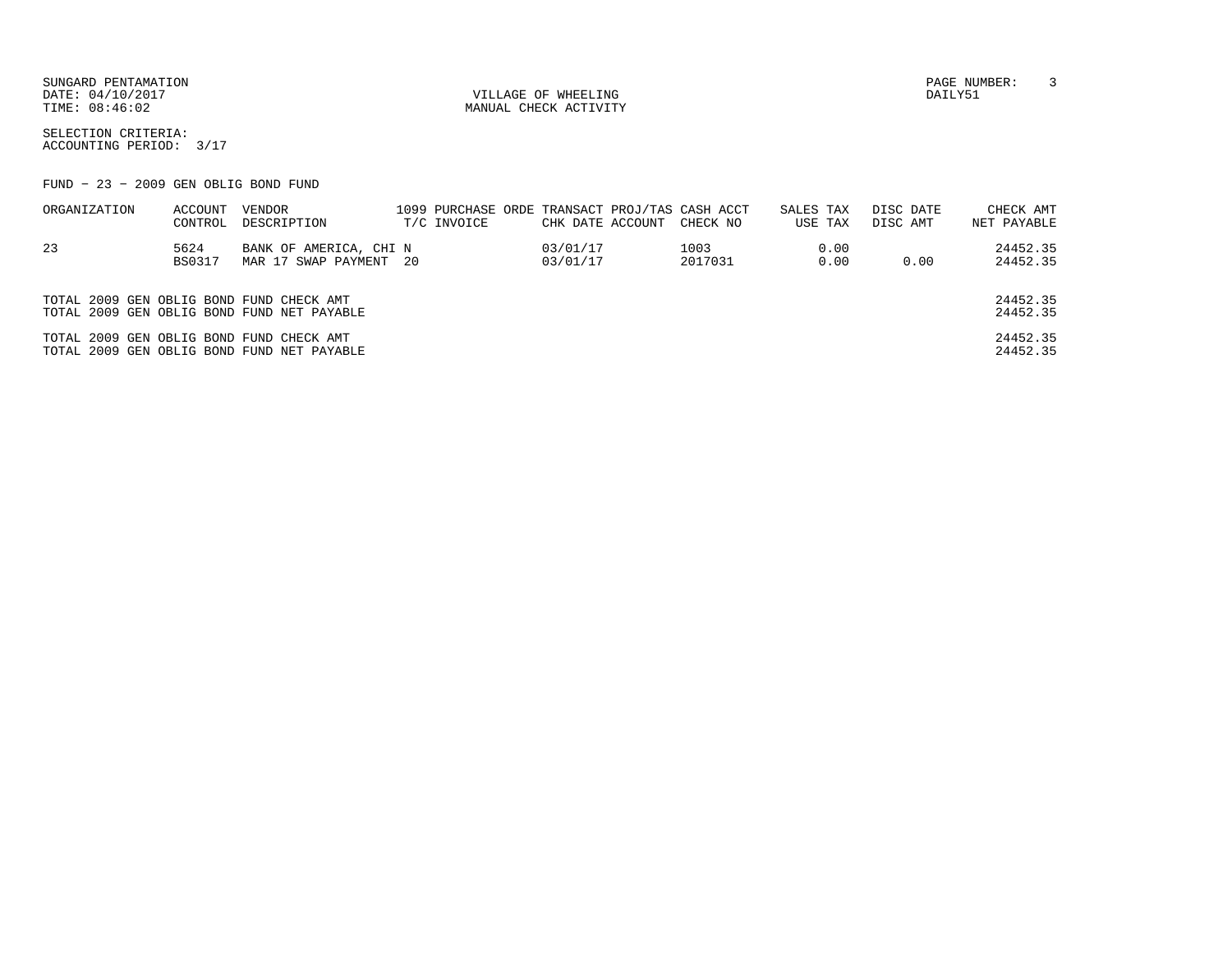SUNGARD PENTAMATION PAGE NUMBER: 3DATE:  $04/10/2017$  DAILY51

TIME:  $08:46:02$  MANUAL CHECK ACTIVITY

SELECTION CRITERIA:ACCOUNTING PERIOD: 3/17

FUND − 23 − 2009 GEN OBLIG BOND FUND

| ORGANIZATION                             | ACCOUNT | VENDOR                                     |             |                  | 1099 PURCHASE ORDE TRANSACT PROJ/TAS CASH ACCT | SALES TAX |      | DISC DATE | CHECK AMT   |
|------------------------------------------|---------|--------------------------------------------|-------------|------------------|------------------------------------------------|-----------|------|-----------|-------------|
|                                          | CONTROL | DESCRIPTION                                | T/C INVOICE | CHK DATE ACCOUNT | CHECK NO                                       | USE TAX   |      | DISC AMT  | NET PAYABLE |
| 23                                       | 5624    | BANK OF AMERICA, CHI N                     |             | 03/01/17         | 1003                                           |           | 0.00 |           | 24452.35    |
|                                          | BS0317  | MAR 17 SWAP PAYMENT 20                     |             | 03/01/17         | 2017031                                        |           | 0.00 | 0.00      | 24452.35    |
|                                          |         |                                            |             |                  |                                                |           |      |           |             |
| TOTAL 2009 GEN OBLIG BOND FUND CHECK AMT |         |                                            |             |                  |                                                |           |      |           | 24452.35    |
|                                          |         | TOTAL 2009 GEN OBLIG BOND FUND NET PAYABLE |             |                  |                                                |           |      |           | 24452.35    |
| TOTAL 2009 GEN OBLIG BOND FUND CHECK AMT |         |                                            |             |                  |                                                |           |      |           | 24452.35    |
|                                          |         | TOTAL 2009 GEN OBLIG BOND FUND NET PAYABLE |             |                  |                                                |           |      |           | 24452.35    |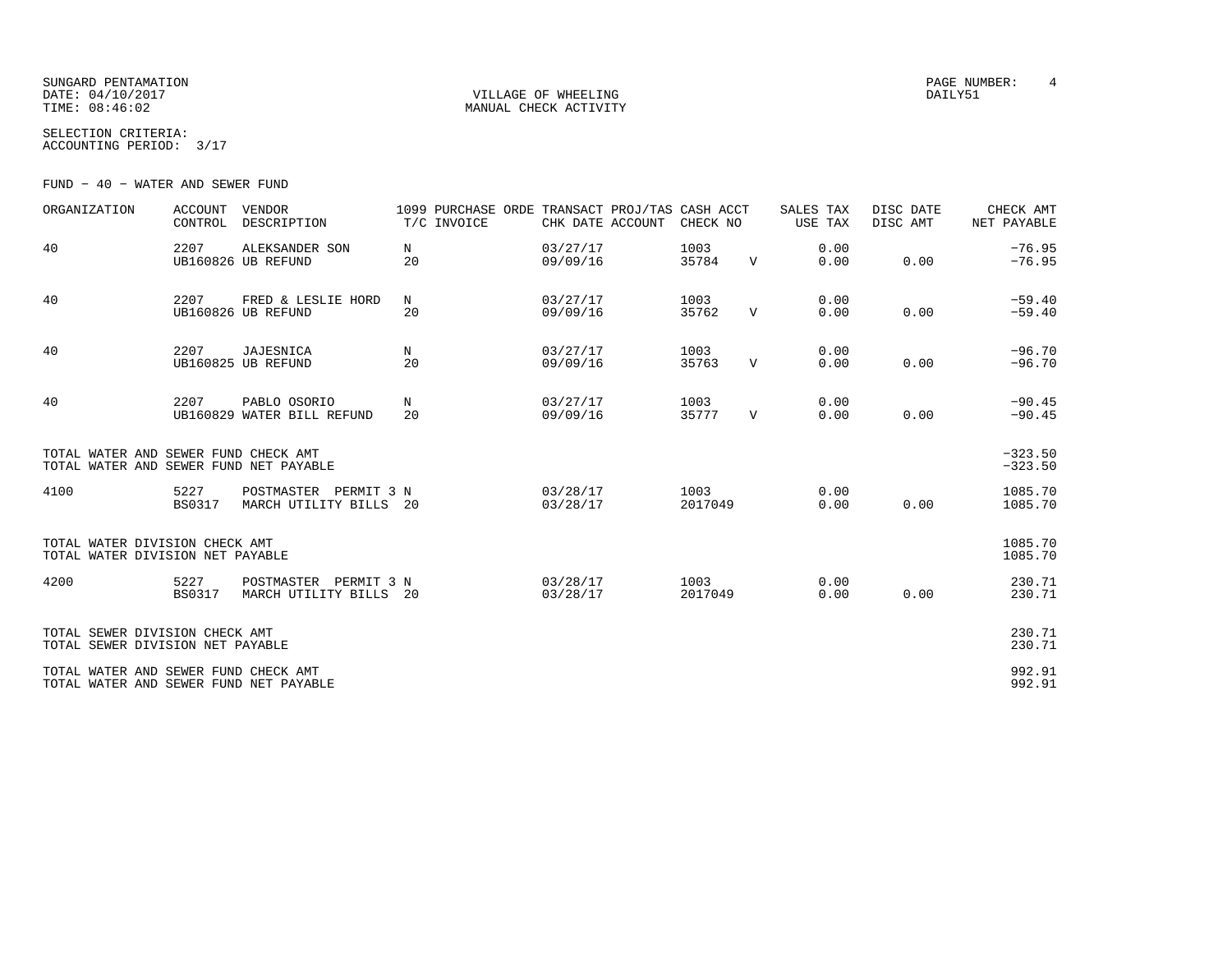SUNGARD PENTAMATION PAGE NUMBER: 4 DATE: 04/10/2017 VILLAGE OF WHEELING DAILY51TIME:  $08:46:02$  MANUAL CHECK ACTIVITY

SELECTION CRITERIA:ACCOUNTING PERIOD: 3/17

FUND − 40 − WATER AND SEWER FUND

| ORGANIZATION                                                                   | <b>ACCOUNT</b><br>CONTROL | VENDOR<br>DESCRIPTION                              | 1099 PURCHASE ORDE<br>T/C INVOICE | TRANSACT PROJ/TAS CASH ACCT<br>CHK DATE ACCOUNT | CHECK NO        |              | SALES TAX<br><b>USE TAX</b> | DISC DATE<br>DISC AMT | CHECK AMT<br>NET PAYABLE |
|--------------------------------------------------------------------------------|---------------------------|----------------------------------------------------|-----------------------------------|-------------------------------------------------|-----------------|--------------|-----------------------------|-----------------------|--------------------------|
| 40                                                                             | 2207                      | ALEKSANDER SON<br>UB160826 UB REFUND               | N<br>20                           | 03/27/17<br>09/09/16                            | 1003<br>35784   | $\mathbf{V}$ | 0.00<br>0.00                | 0.00                  | $-76.95$<br>$-76.95$     |
| 40                                                                             | 2207                      | FRED & LESLIE HORD<br>UB160826 UB REFUND           | N<br>20                           | 03/27/17<br>09/09/16                            | 1003<br>35762   | $\mathbf{V}$ | 0.00<br>0.00                | 0.00                  | $-59.40$<br>$-59.40$     |
| 40                                                                             | 2207                      | <b>JAJESNICA</b><br>UB160825 UB REFUND             | N<br>20                           | 03/27/17<br>09/09/16                            | 1003<br>35763   | $\mathbf{V}$ | 0.00<br>0.00                | 0.00                  | $-96.70$<br>$-96.70$     |
| 40                                                                             | 2207                      | PABLO OSORIO<br>UB160829 WATER BILL REFUND         | N<br>20                           | 03/27/17<br>09/09/16                            | 1003<br>35777   | $\mathbf{V}$ | 0.00<br>0.00                | 0.00                  | $-90.45$<br>$-90.45$     |
| TOTAL WATER AND SEWER FUND CHECK AMT<br>TOTAL WATER AND SEWER FUND NET PAYABLE |                           |                                                    |                                   |                                                 |                 |              |                             |                       | $-323.50$<br>$-323.50$   |
| 4100                                                                           | 5227<br><b>BS0317</b>     | POSTMASTER PERMIT 3 N<br>MARCH UTILITY BILLS       | 20                                | 03/28/17<br>03/28/17                            | 1003<br>2017049 |              | 0.00<br>0.00                | 0.00                  | 1085.70<br>1085.70       |
| TOTAL WATER DIVISION CHECK AMT<br>TOTAL WATER DIVISION NET PAYABLE             |                           |                                                    |                                   |                                                 |                 |              |                             |                       | 1085.70<br>1085.70       |
| 4200                                                                           | 5227<br><b>BS0317</b>     | POSTMASTER<br>PERMIT 3 N<br>MARCH UTILITY BILLS 20 |                                   | 03/28/17<br>03/28/17                            | 1003<br>2017049 |              | 0.00<br>0.00                | 0.00                  | 230.71<br>230.71         |
| TOTAL SEWER DIVISION CHECK AMT<br>TOTAL SEWER DIVISION NET PAYABLE             |                           |                                                    |                                   |                                                 |                 |              |                             |                       | 230.71<br>230.71         |
| TOTAL WATER AND SEWER FUND CHECK AMT<br>TOTAL WATER AND SEWER FUND NET PAYABLE |                           |                                                    |                                   |                                                 |                 |              |                             |                       | 992.91<br>992.91         |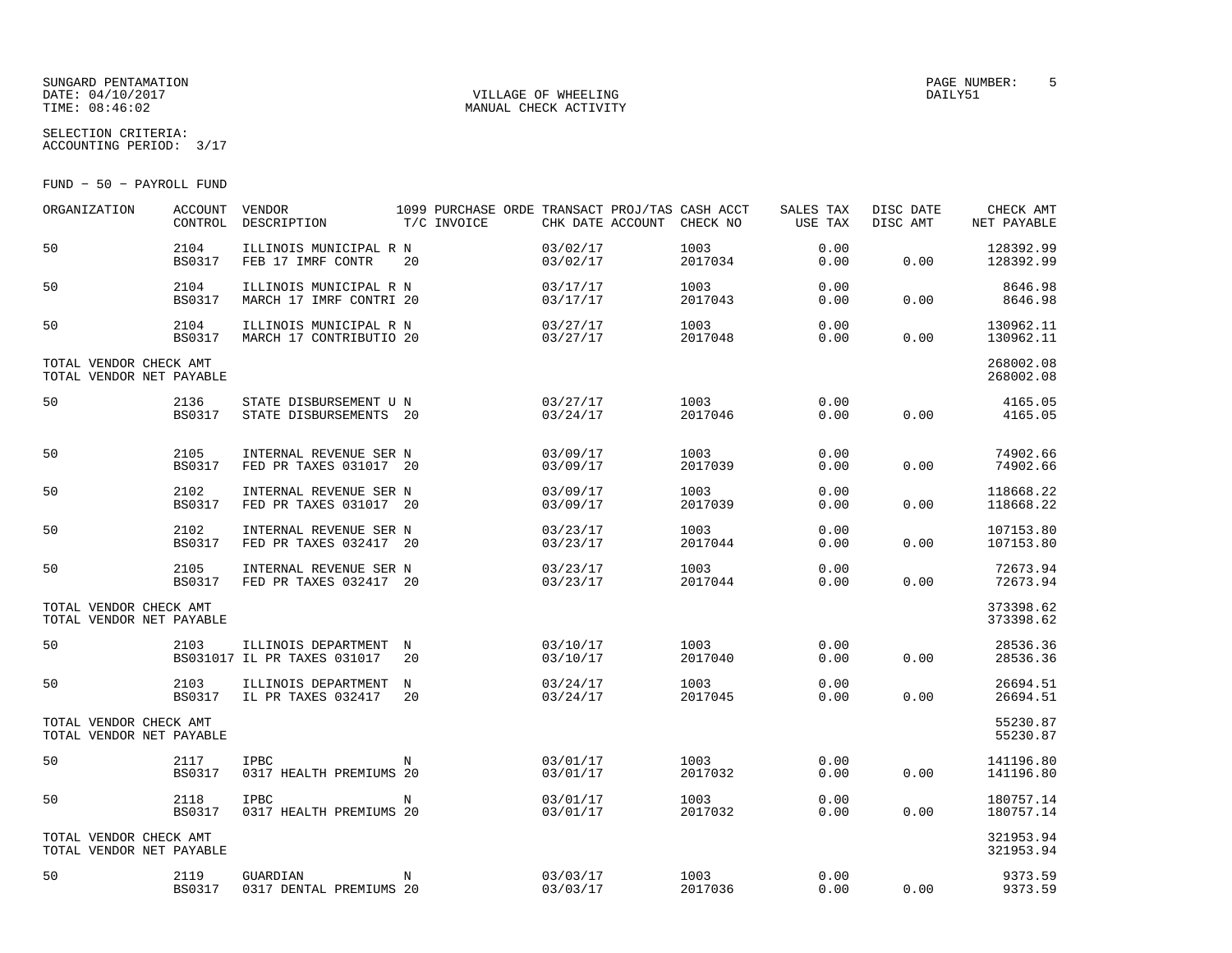# DATE: 04/10/2017 VILLAGE OF WHEELING DAILY51

SELECTION CRITERIA:

### MANUAL CHECK ACTIVITY

ACCOUNTING PERIOD: 3/17

FUND − 50 − PAYROLL FUND

| ORGANIZATION                                       | <b>ACCOUNT</b><br>CONTROL | VENDOR<br>DESCRIPTION                                | 1099 PURCHASE ORDE TRANSACT PROJ/TAS CASH ACCT<br>T/C INVOICE | CHK DATE ACCOUNT CHECK NO |                 | SALES TAX<br>USE TAX | DISC DATE<br>DISC AMT | CHECK AMT<br>NET PAYABLE |
|----------------------------------------------------|---------------------------|------------------------------------------------------|---------------------------------------------------------------|---------------------------|-----------------|----------------------|-----------------------|--------------------------|
| 50                                                 | 2104<br><b>BS0317</b>     | ILLINOIS MUNICIPAL R N<br>FEB 17 IMRF CONTR          | 20                                                            | 03/02/17<br>03/02/17      | 1003<br>2017034 | 0.00<br>0.00         | 0.00                  | 128392.99<br>128392.99   |
| 50                                                 | 2104<br><b>BS0317</b>     | ILLINOIS MUNICIPAL R N<br>MARCH 17 IMRF CONTRI 20    |                                                               | 03/17/17<br>03/17/17      | 1003<br>2017043 | 0.00<br>0.00         | 0.00                  | 8646.98<br>8646.98       |
| 50                                                 | 2104<br><b>BS0317</b>     | ILLINOIS MUNICIPAL R N<br>MARCH 17 CONTRIBUTIO 20    |                                                               | 03/27/17<br>03/27/17      | 1003<br>2017048 | 0.00<br>0.00         | 0.00                  | 130962.11<br>130962.11   |
| TOTAL VENDOR CHECK AMT<br>TOTAL VENDOR NET PAYABLE |                           |                                                      |                                                               |                           |                 |                      |                       | 268002.08<br>268002.08   |
| 50                                                 | 2136<br><b>BS0317</b>     | STATE DISBURSEMENT U N<br>STATE DISBURSEMENTS 20     |                                                               | 03/27/17<br>03/24/17      | 1003<br>2017046 | 0.00<br>0.00         | 0.00                  | 4165.05<br>4165.05       |
| 50                                                 | 2105<br><b>BS0317</b>     | INTERNAL REVENUE SER N<br>FED PR TAXES 031017 20     |                                                               | 03/09/17<br>03/09/17      | 1003<br>2017039 | 0.00<br>0.00         | 0.00                  | 74902.66<br>74902.66     |
| 50                                                 | 2102<br><b>BS0317</b>     | INTERNAL REVENUE SER N<br>FED PR TAXES 031017 20     |                                                               | 03/09/17<br>03/09/17      | 1003<br>2017039 | 0.00<br>0.00         | 0.00                  | 118668.22<br>118668.22   |
| 50                                                 | 2102<br><b>BS0317</b>     | INTERNAL REVENUE SER N<br>FED PR TAXES 032417 20     |                                                               | 03/23/17<br>03/23/17      | 1003<br>2017044 | 0.00<br>0.00         | 0.00                  | 107153.80<br>107153.80   |
| 50                                                 | 2105<br><b>BS0317</b>     | INTERNAL REVENUE SER N<br>FED PR TAXES 032417 20     |                                                               | 03/23/17<br>03/23/17      | 1003<br>2017044 | 0.00<br>0.00         | 0.00                  | 72673.94<br>72673.94     |
| TOTAL VENDOR CHECK AMT<br>TOTAL VENDOR NET PAYABLE |                           |                                                      |                                                               |                           |                 |                      |                       | 373398.62<br>373398.62   |
| 50                                                 | 2103                      | ILLINOIS DEPARTMENT N<br>BS031017 IL PR TAXES 031017 | 20                                                            | 03/10/17<br>03/10/17      | 1003<br>2017040 | 0.00<br>0.00         | 0.00                  | 28536.36<br>28536.36     |
| 50                                                 | 2103<br>BS0317            | ILLINOIS DEPARTMENT<br>IL PR TAXES 032417            | N<br>20                                                       | 03/24/17<br>03/24/17      | 1003<br>2017045 | 0.00<br>0.00         | 0.00                  | 26694.51<br>26694.51     |
| TOTAL VENDOR CHECK AMT<br>TOTAL VENDOR NET PAYABLE |                           |                                                      |                                                               |                           |                 |                      |                       | 55230.87<br>55230.87     |
| 50                                                 | 2117<br><b>BS0317</b>     | IPBC<br>0317 HEALTH PREMIUMS 20                      | N                                                             | 03/01/17<br>03/01/17      | 1003<br>2017032 | 0.00<br>0.00         | 0.00                  | 141196.80<br>141196.80   |
| 50                                                 | 2118<br><b>BS0317</b>     | IPBC<br>0317 HEALTH PREMIUMS 20                      | N                                                             | 03/01/17<br>03/01/17      | 1003<br>2017032 | 0.00<br>0.00         | 0.00                  | 180757.14<br>180757.14   |
| TOTAL VENDOR CHECK AMT<br>TOTAL VENDOR NET PAYABLE |                           |                                                      |                                                               |                           |                 |                      |                       | 321953.94<br>321953.94   |
| 50                                                 | 2119<br>BS0317            | GUARDIAN<br>0317 DENTAL PREMIUMS 20                  | N                                                             | 03/03/17<br>03/03/17      | 1003<br>2017036 | 0.00<br>0.00         | 0.00                  | 9373.59<br>9373.59       |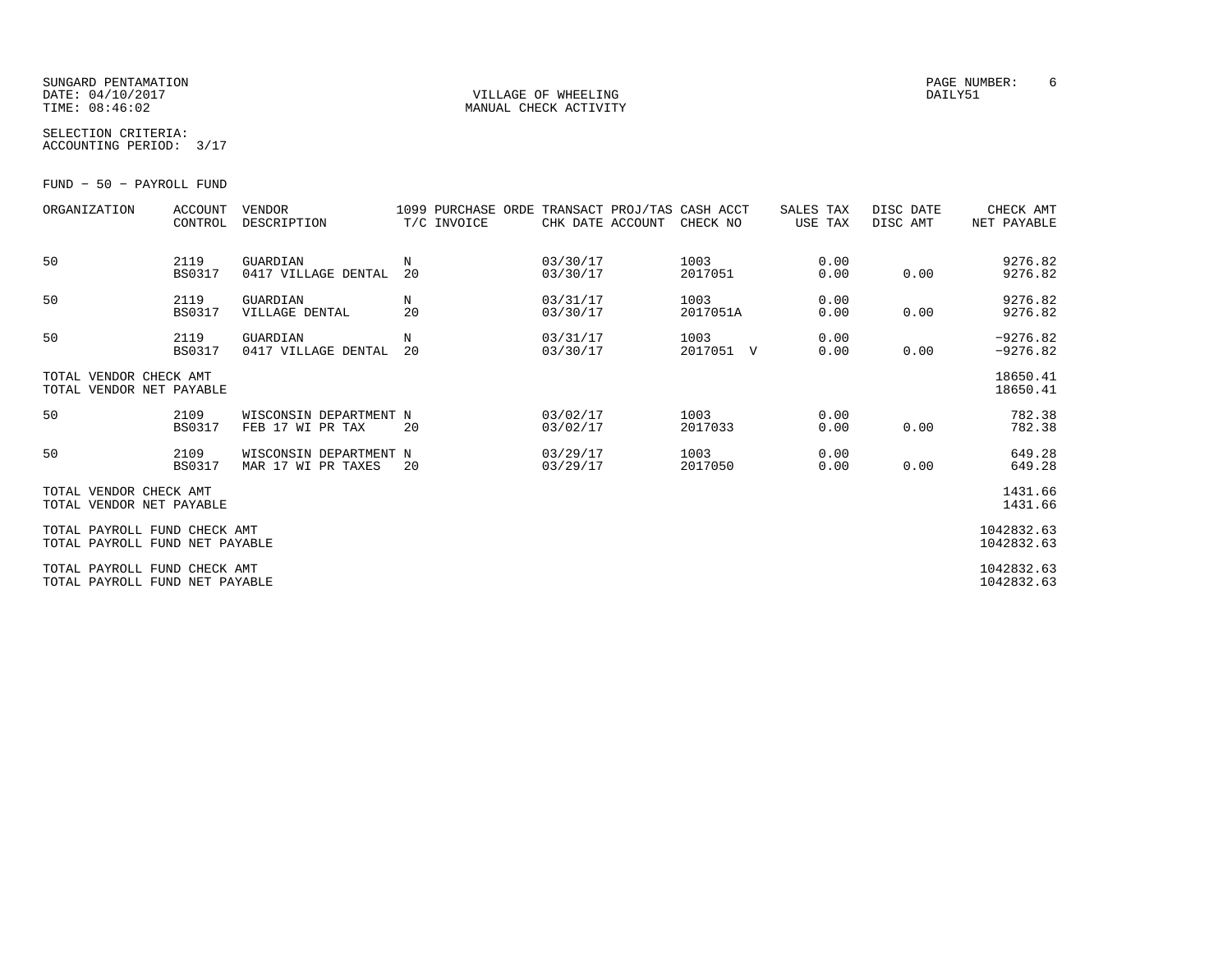#### SUNGARD PENTAMATION PAGE NUMBER: 6DATE: 04/10/2017 VILLAGE OF WHEELING DAILY51

MANUAL CHECK ACTIVITY

SELECTION CRITERIA:ACCOUNTING PERIOD: 3/17

FUND − 50 − PAYROLL FUND

| ORGANIZATION                                                   | <b>ACCOUNT</b><br>CONTROL | <b>VENDOR</b><br>DESCRIPTION                 | 1099 PURCHASE ORDE TRANSACT PROJ/TAS CASH ACCT<br>T/C INVOICE | CHK DATE ACCOUNT     | CHECK NO          | SALES TAX<br>USE TAX | DISC DATE<br>DISC AMT | CHECK AMT<br>NET PAYABLE |
|----------------------------------------------------------------|---------------------------|----------------------------------------------|---------------------------------------------------------------|----------------------|-------------------|----------------------|-----------------------|--------------------------|
| 50                                                             | 2119<br><b>BS0317</b>     | GUARDIAN<br>0417 VILLAGE DENTAL              | N<br>20                                                       | 03/30/17<br>03/30/17 | 1003<br>2017051   | 0.00<br>0.00         | 0.00                  | 9276.82<br>9276.82       |
| 50                                                             | 2119<br><b>BS0317</b>     | GUARDIAN<br>VILLAGE DENTAL                   | N<br>20                                                       | 03/31/17<br>03/30/17 | 1003<br>2017051A  | 0.00<br>0.00         | 0.00                  | 9276.82<br>9276.82       |
| 50                                                             | 2119<br><b>BS0317</b>     | GUARDIAN<br>0417 VILLAGE DENTAL              | N<br>20                                                       | 03/31/17<br>03/30/17 | 1003<br>2017051 V | 0.00<br>0.00         | 0.00                  | $-9276.82$<br>$-9276.82$ |
| TOTAL VENDOR CHECK AMT<br>TOTAL VENDOR NET PAYABLE             |                           |                                              |                                                               |                      |                   |                      |                       | 18650.41<br>18650.41     |
| 50                                                             | 2109<br><b>BS0317</b>     | WISCONSIN DEPARTMENT N<br>FEB 17 WI PR TAX   | 20                                                            | 03/02/17<br>03/02/17 | 1003<br>2017033   | 0.00<br>0.00         | 0.00                  | 782.38<br>782.38         |
| 50                                                             | 2109<br><b>BS0317</b>     | WISCONSIN DEPARTMENT N<br>MAR 17 WI PR TAXES | 20                                                            | 03/29/17<br>03/29/17 | 1003<br>2017050   | 0.00<br>0.00         | 0.00                  | 649.28<br>649.28         |
| TOTAL VENDOR CHECK AMT<br>TOTAL VENDOR NET PAYABLE             |                           |                                              |                                                               |                      |                   |                      |                       | 1431.66<br>1431.66       |
| TOTAL PAYROLL FUND CHECK AMT<br>TOTAL PAYROLL FUND NET PAYABLE |                           |                                              |                                                               |                      |                   |                      |                       | 1042832.63<br>1042832.63 |
| TOTAL PAYROLL FUND CHECK AMT<br>TOTAL PAYROLL FUND NET PAYABLE |                           |                                              |                                                               |                      |                   |                      |                       | 1042832.63<br>1042832.63 |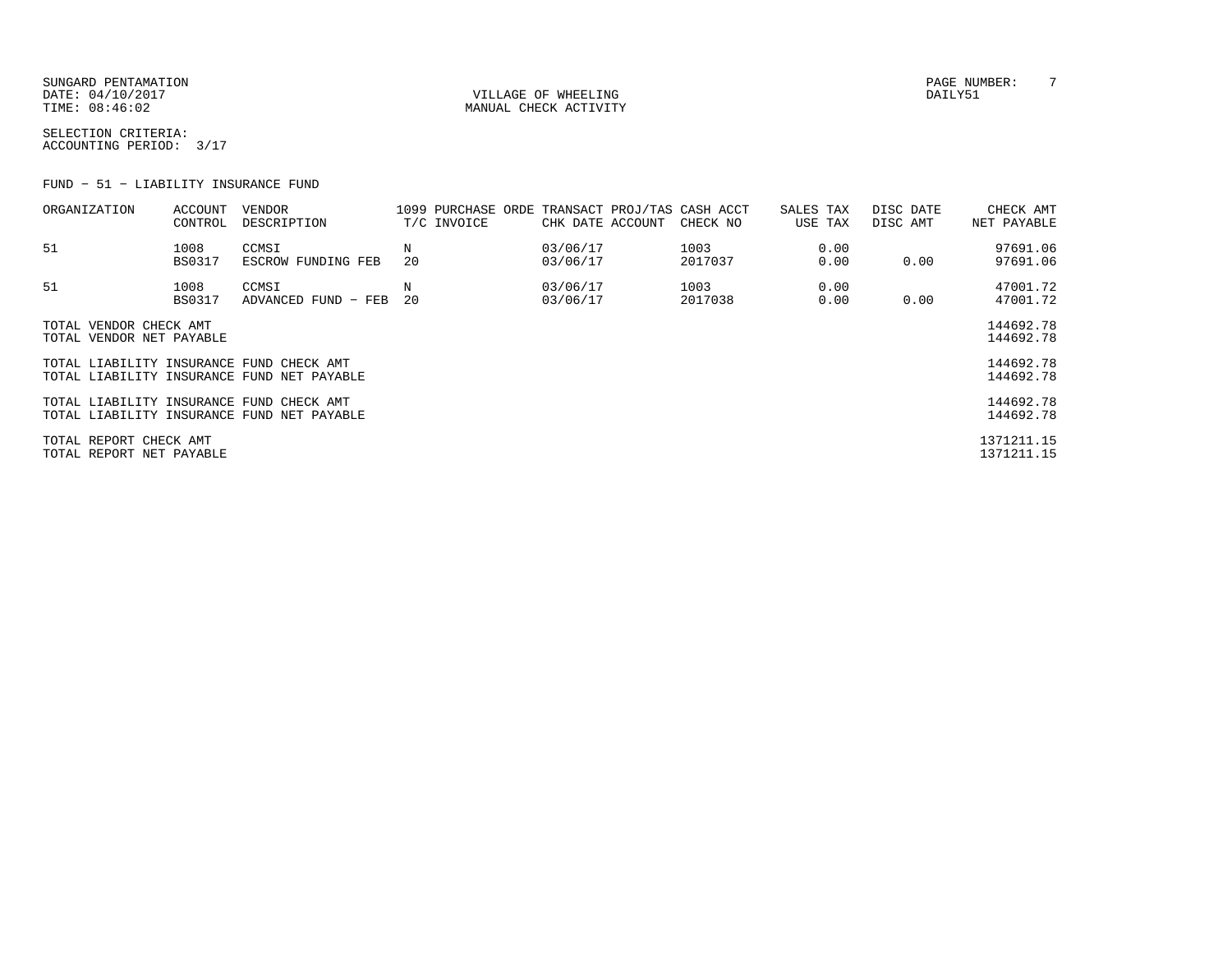SUNGARD PENTAMATION PAGE NUMBER: T DATE:  $04/10/2017$  DAILY51

TIME:  $08:46:02$  MANUAL CHECK ACTIVITY

SELECTION CRITERIA:ACCOUNTING PERIOD: 3/17

FUND − 51 − LIABILITY INSURANCE FUND

| ORGANIZATION                                                                           | ACCOUNT<br>CONTROL    | VENDOR<br>DESCRIPTION                      |         | T/C INVOICE |  | CHK DATE ACCOUNT       | 1099 PURCHASE ORDE TRANSACT PROJ/TAS CASH ACCT<br>CHECK NO | SALES TAX<br>USE TAX | DISC DATE<br>DISC AMT | CHECK AMT<br>NET PAYABLE |
|----------------------------------------------------------------------------------------|-----------------------|--------------------------------------------|---------|-------------|--|------------------------|------------------------------------------------------------|----------------------|-----------------------|--------------------------|
| 51                                                                                     | 1008<br><b>BS0317</b> | CCMSI<br>ESCROW FUNDING FEB                | N<br>20 |             |  | 03/06/17<br>03/06/17   | 1003<br>2017037                                            | 0.00<br>0.00         | 0.00                  | 97691.06<br>97691.06     |
| 51                                                                                     | 1008<br><b>BS0317</b> | CCMSI<br>ADVANCED FUND - FEB               | Ν<br>20 |             |  | 03/06/17<br>03/06/17   | 1003<br>2017038                                            | 0.00<br>0.00         | 0.00                  | 47001.72<br>47001.72     |
| TOTAL VENDOR CHECK AMT<br>TOTAL VENDOR NET PAYABLE                                     |                       |                                            |         |             |  |                        |                                                            |                      |                       | 144692.78<br>144692.78   |
| TOTAL LIABILITY INSURANCE FUND CHECK AMT<br>TOTAL LIABILITY INSURANCE FUND NET PAYABLE |                       |                                            |         |             |  | 144692.78<br>144692.78 |                                                            |                      |                       |                          |
| TOTAL LIABILITY INSURANCE FUND CHECK AMT                                               |                       | TOTAL LIABILITY INSURANCE FUND NET PAYABLE |         |             |  |                        |                                                            |                      |                       | 144692.78<br>144692.78   |
| TOTAL REPORT CHECK AMT<br>TOTAL REPORT NET PAYABLE                                     |                       |                                            |         |             |  |                        |                                                            |                      |                       | 1371211.15<br>1371211.15 |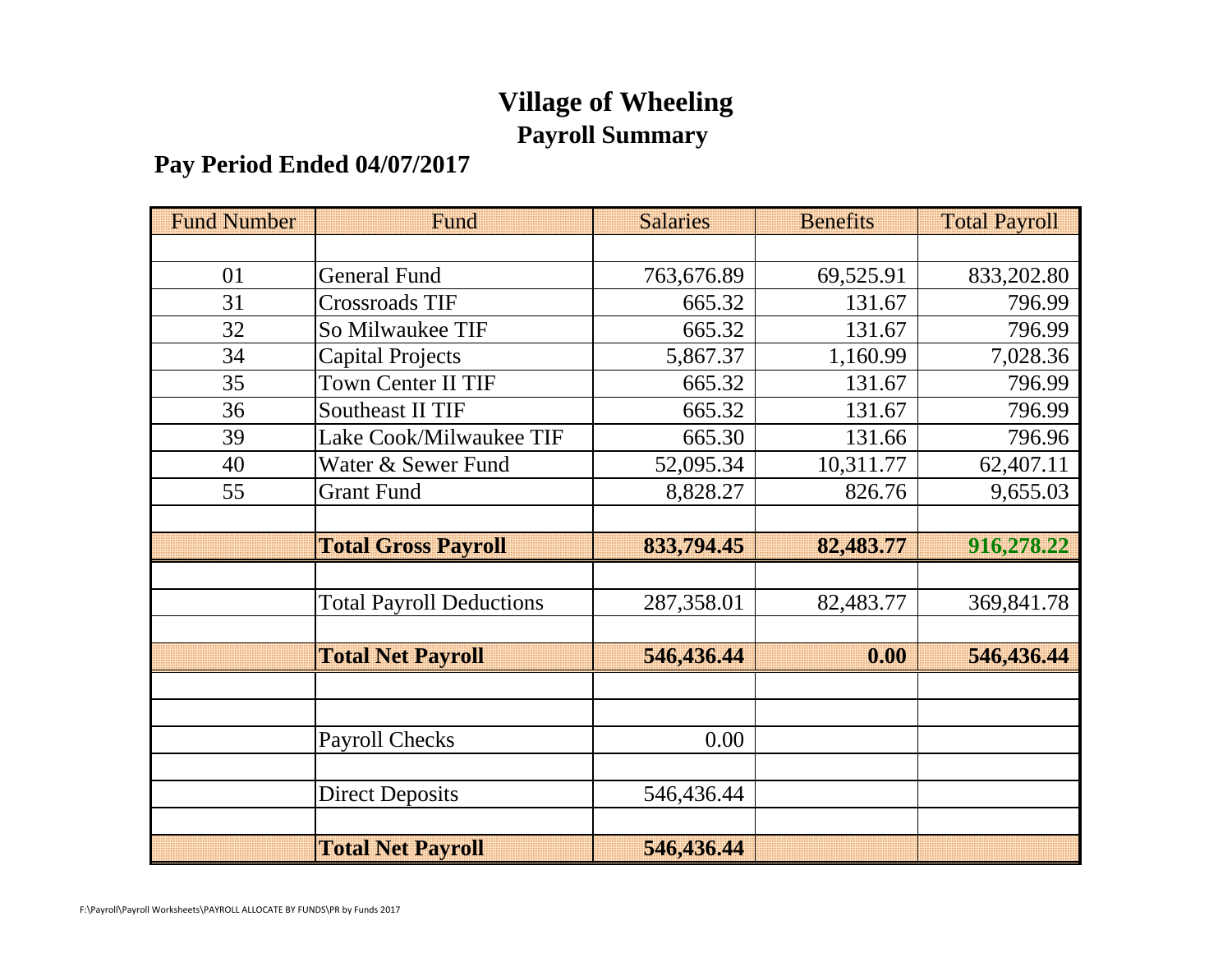## **Village of Wheeling Payroll Summary**

## **Pay Period Ended 04/07/2017**

| <b>Fund Number</b> | Fund                            | <b>Salaries</b> | <b>Benefits</b> | <b>Total Payroll</b> |
|--------------------|---------------------------------|-----------------|-----------------|----------------------|
|                    |                                 |                 |                 |                      |
| 01                 | <b>General Fund</b>             | 763,676.89      | 69,525.91       | 833,202.80           |
| 31                 | <b>Crossroads TIF</b>           | 665.32          | 131.67          | 796.99               |
| 32                 | So Milwaukee TIF                | 665.32          | 131.67          | 796.99               |
| 34                 | <b>Capital Projects</b>         | 5,867.37        | 1,160.99        | 7,028.36             |
| 35                 | <b>Town Center II TIF</b>       | 665.32          | 131.67          | 796.99               |
| 36                 | <b>Southeast II TIF</b>         | 665.32          | 131.67          | 796.99               |
| 39                 | Lake Cook/Milwaukee TIF         | 665.30          | 131.66          | 796.96               |
| 40                 | Water & Sewer Fund              | 52,095.34       | 10,311.77       | 62,407.11            |
| 55                 | <b>Grant Fund</b>               | 8,828.27        | 826.76          | 9,655.03             |
|                    |                                 |                 |                 |                      |
|                    | <b>Total Gross Payroll</b>      | 833,794.45      | 82,483.77       | 916,278.22           |
|                    |                                 |                 |                 |                      |
|                    | <b>Total Payroll Deductions</b> | 287,358.01      | 82,483.77       | 369,841.78           |
|                    |                                 |                 |                 |                      |
|                    | <b>Total Net Payroll</b>        | 546,436.44      | 0.00            | 546,436.44           |
|                    |                                 |                 |                 |                      |
|                    |                                 |                 |                 |                      |
|                    | <b>Payroll Checks</b>           | 0.00            |                 |                      |
|                    |                                 |                 |                 |                      |
|                    | <b>Direct Deposits</b>          | 546,436.44      |                 |                      |
|                    |                                 |                 |                 |                      |
|                    | <b>Total Net Payroll</b>        | 546,436.44      |                 |                      |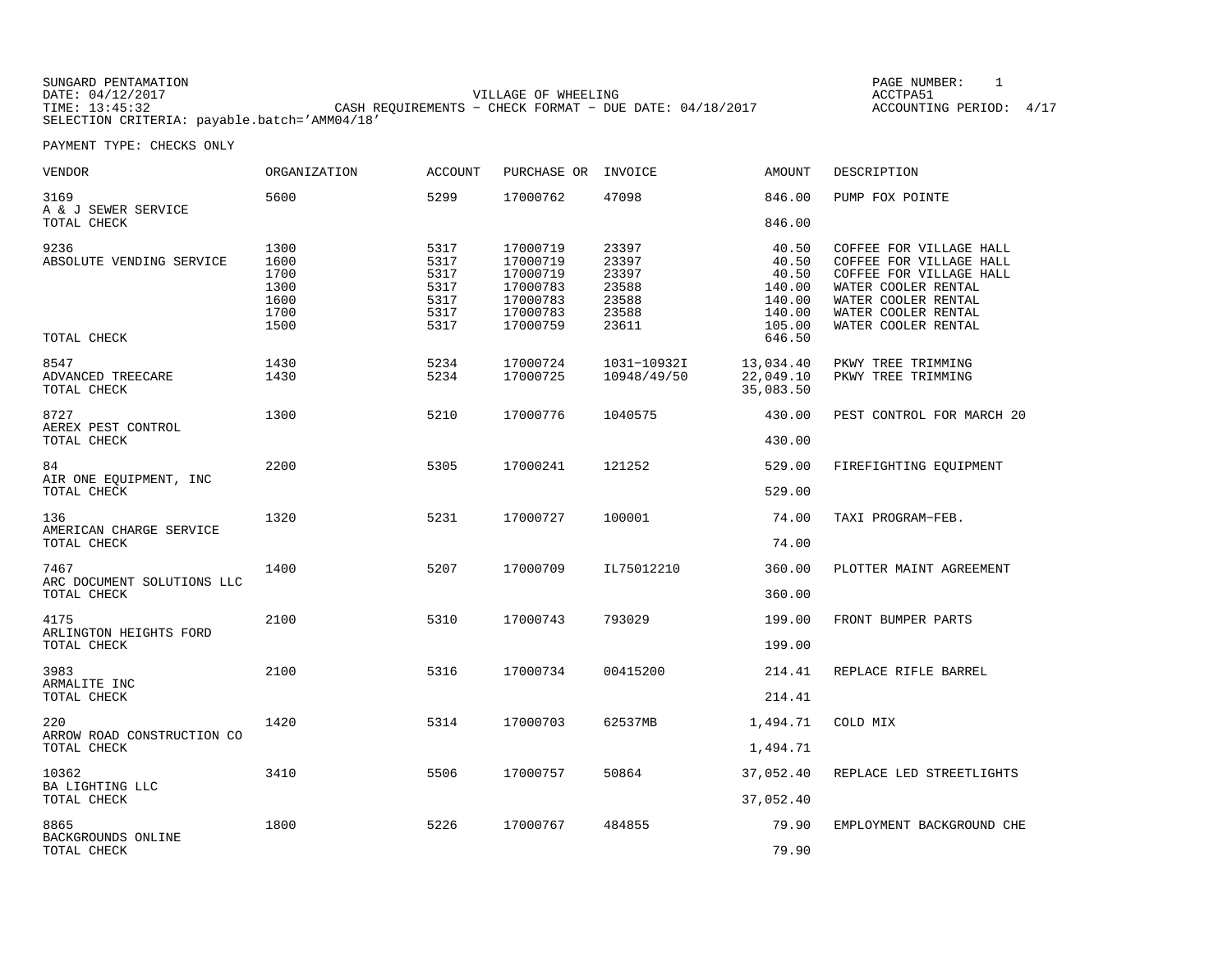| SUNGARD PENTAMATION                          |                                                           | PAGE NUMBER:            |  |
|----------------------------------------------|-----------------------------------------------------------|-------------------------|--|
| DATE: 04/12/2017                             | VILLAGE OF WHEELING                                       | ACCTPA51                |  |
| TIME: 13:45:32                               | CASH REOUIREMENTS - CHECK FORMAT - DUE DATE: $04/18/2017$ | ACCOUNTING PERIOD: 4/17 |  |
| SELECTION CRITERIA: payable.batch='AMM04/18' |                                                           |                         |  |

| <b>VENDOR</b>                                   | <b>ORGANIZATION</b>                                  | <b>ACCOUNT</b>                                       | PURCHASE OR                                                                      | INVOICE                                                     | <b>AMOUNT</b>                                                             | DESCRIPTION                                                                                                                                                               |
|-------------------------------------------------|------------------------------------------------------|------------------------------------------------------|----------------------------------------------------------------------------------|-------------------------------------------------------------|---------------------------------------------------------------------------|---------------------------------------------------------------------------------------------------------------------------------------------------------------------------|
| 3169<br>A & J SEWER SERVICE                     | 5600                                                 | 5299                                                 | 17000762                                                                         | 47098                                                       | 846.00                                                                    | PUMP FOX POINTE                                                                                                                                                           |
| TOTAL CHECK                                     |                                                      |                                                      |                                                                                  |                                                             | 846.00                                                                    |                                                                                                                                                                           |
| 9236<br>ABSOLUTE VENDING SERVICE<br>TOTAL CHECK | 1300<br>1600<br>1700<br>1300<br>1600<br>1700<br>1500 | 5317<br>5317<br>5317<br>5317<br>5317<br>5317<br>5317 | 17000719<br>17000719<br>17000719<br>17000783<br>17000783<br>17000783<br>17000759 | 23397<br>23397<br>23397<br>23588<br>23588<br>23588<br>23611 | 40.50<br>40.50<br>40.50<br>140.00<br>140.00<br>140.00<br>105.00<br>646.50 | COFFEE FOR VILLAGE HALL<br>COFFEE FOR VILLAGE HALL<br>COFFEE FOR VILLAGE HALL<br>WATER COOLER RENTAL<br>WATER COOLER RENTAL<br>WATER COOLER RENTAL<br>WATER COOLER RENTAL |
|                                                 |                                                      |                                                      |                                                                                  |                                                             |                                                                           |                                                                                                                                                                           |
| 8547<br>ADVANCED TREECARE<br>TOTAL CHECK        | 1430<br>1430                                         | 5234<br>5234                                         | 17000724<br>17000725                                                             | 1031-10932I<br>10948/49/50                                  | 13,034.40<br>22,049.10<br>35,083.50                                       | PKWY TREE TRIMMING<br>PKWY TREE TRIMMING                                                                                                                                  |
| 8727                                            | 1300                                                 | 5210                                                 | 17000776                                                                         | 1040575                                                     | 430.00                                                                    | PEST CONTROL FOR MARCH 20                                                                                                                                                 |
| AEREX PEST CONTROL<br>TOTAL CHECK               |                                                      |                                                      |                                                                                  |                                                             | 430.00                                                                    |                                                                                                                                                                           |
| 84                                              | 2200                                                 | 5305                                                 | 17000241                                                                         | 121252                                                      | 529.00                                                                    | FIREFIGHTING EQUIPMENT                                                                                                                                                    |
| AIR ONE EQUIPMENT, INC<br>TOTAL CHECK           |                                                      |                                                      |                                                                                  |                                                             | 529.00                                                                    |                                                                                                                                                                           |
| 136<br>AMERICAN CHARGE SERVICE                  | 1320                                                 | 5231                                                 | 17000727                                                                         | 100001                                                      | 74.00                                                                     | TAXI PROGRAM-FEB.                                                                                                                                                         |
| TOTAL CHECK                                     |                                                      |                                                      |                                                                                  |                                                             | 74.00                                                                     |                                                                                                                                                                           |
| 7467<br>ARC DOCUMENT SOLUTIONS LLC              | 1400                                                 | 5207                                                 | 17000709                                                                         | IL75012210                                                  | 360.00                                                                    | PLOTTER MAINT AGREEMENT                                                                                                                                                   |
| TOTAL CHECK                                     |                                                      |                                                      |                                                                                  |                                                             | 360.00                                                                    |                                                                                                                                                                           |
| 4175<br>ARLINGTON HEIGHTS FORD                  | 2100                                                 | 5310                                                 | 17000743                                                                         | 793029                                                      | 199.00                                                                    | FRONT BUMPER PARTS                                                                                                                                                        |
| TOTAL CHECK                                     |                                                      |                                                      |                                                                                  |                                                             | 199.00                                                                    |                                                                                                                                                                           |
| 3983<br>ARMALITE INC                            | 2100                                                 | 5316                                                 | 17000734                                                                         | 00415200                                                    | 214.41                                                                    | REPLACE RIFLE BARREL                                                                                                                                                      |
| TOTAL CHECK                                     |                                                      |                                                      |                                                                                  |                                                             | 214.41                                                                    |                                                                                                                                                                           |
| 220<br>ARROW ROAD CONSTRUCTION CO               | 1420                                                 | 5314                                                 | 17000703                                                                         | 62537MB                                                     | 1,494.71                                                                  | COLD MIX                                                                                                                                                                  |
| TOTAL CHECK                                     |                                                      |                                                      |                                                                                  |                                                             | 1,494.71                                                                  |                                                                                                                                                                           |
| 10362<br>BA LIGHTING LLC                        | 3410                                                 | 5506                                                 | 17000757                                                                         | 50864                                                       | 37,052.40                                                                 | REPLACE LED STREETLIGHTS                                                                                                                                                  |
| TOTAL CHECK                                     |                                                      |                                                      |                                                                                  |                                                             | 37,052.40                                                                 |                                                                                                                                                                           |
| 8865<br>BACKGROUNDS ONLINE                      | 1800                                                 | 5226                                                 | 17000767                                                                         | 484855                                                      | 79.90                                                                     | EMPLOYMENT BACKGROUND CHE                                                                                                                                                 |
| TOTAL CHECK                                     |                                                      |                                                      |                                                                                  |                                                             | 79.90                                                                     |                                                                                                                                                                           |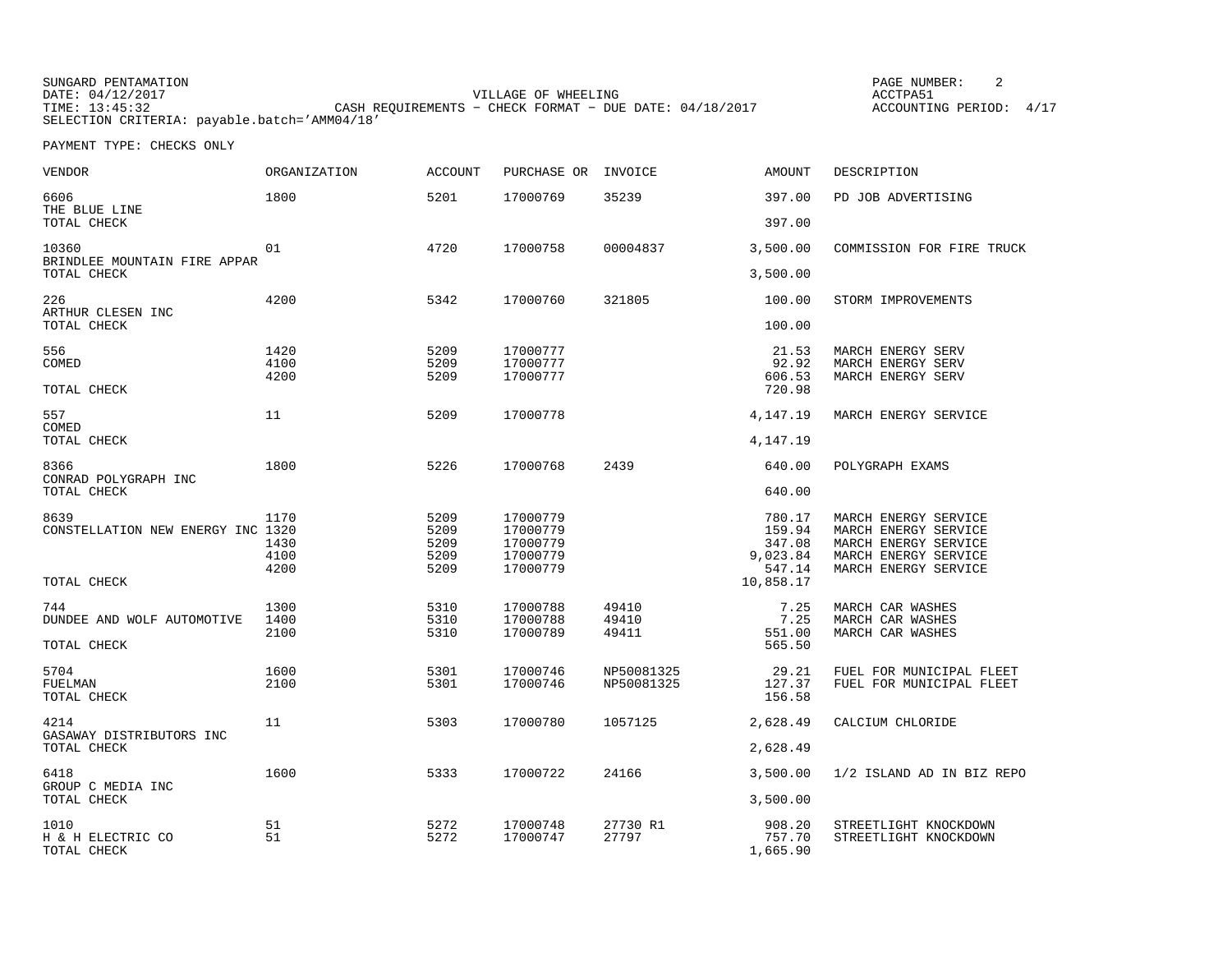| SUNGARD PENTAMATION                          |                                                           | PAGE NUMBER:            |  |
|----------------------------------------------|-----------------------------------------------------------|-------------------------|--|
| DATE: 04/12/2017                             | VILLAGE OF WHEELING                                       | ACCTPA51                |  |
| TIME: 13:45:32                               | CASH REQUIREMENTS - CHECK FORMAT - DUE DATE: $04/18/2017$ | ACCOUNTING PERIOD: 4/17 |  |
| SELECTION CRITERIA: payable.batch='AMM04/18' |                                                           |                         |  |

| VENDOR                                           | <b>ORGANIZATION</b>          | <b>ACCOUNT</b>                       | PURCHASE OR                                              | INVOICE                  | <b>AMOUNT</b>                                    | DESCRIPTION                                                                                                          |
|--------------------------------------------------|------------------------------|--------------------------------------|----------------------------------------------------------|--------------------------|--------------------------------------------------|----------------------------------------------------------------------------------------------------------------------|
| 6606<br>THE BLUE LINE                            | 1800                         | 5201                                 | 17000769                                                 | 35239                    | 397.00                                           | PD JOB ADVERTISING                                                                                                   |
| TOTAL CHECK                                      |                              |                                      |                                                          |                          | 397.00                                           |                                                                                                                      |
| 10360<br>BRINDLEE MOUNTAIN FIRE APPAR            | 01                           | 4720                                 | 17000758                                                 | 00004837                 | 3,500.00                                         | COMMISSION FOR FIRE TRUCK                                                                                            |
| TOTAL CHECK                                      |                              |                                      |                                                          |                          | 3,500.00                                         |                                                                                                                      |
| 226<br>ARTHUR CLESEN INC                         | 4200                         | 5342                                 | 17000760                                                 | 321805                   | 100.00                                           | STORM IMPROVEMENTS                                                                                                   |
| TOTAL CHECK                                      |                              |                                      |                                                          |                          | 100.00                                           |                                                                                                                      |
| 556<br>COMED                                     | 1420<br>4100                 | 5209<br>5209                         | 17000777<br>17000777                                     |                          | 21.53<br>92.92                                   | MARCH ENERGY SERV<br>MARCH ENERGY SERV                                                                               |
| TOTAL CHECK                                      | 4200                         | 5209                                 | 17000777                                                 |                          | 606.53<br>720.98                                 | MARCH ENERGY SERV                                                                                                    |
| 557<br>COMED                                     | 11                           | 5209                                 | 17000778                                                 |                          | 4,147.19                                         | MARCH ENERGY SERVICE                                                                                                 |
| TOTAL CHECK                                      |                              |                                      |                                                          |                          | 4,147.19                                         |                                                                                                                      |
| 8366<br>CONRAD POLYGRAPH INC                     | 1800                         | 5226                                 | 17000768                                                 | 2439                     | 640.00                                           | POLYGRAPH EXAMS                                                                                                      |
| TOTAL CHECK                                      |                              |                                      |                                                          |                          | 640.00                                           |                                                                                                                      |
| 8639<br>CONSTELLATION NEW ENERGY INC 1320        | 1170<br>1430<br>4100<br>4200 | 5209<br>5209<br>5209<br>5209<br>5209 | 17000779<br>17000779<br>17000779<br>17000779<br>17000779 |                          | 780.17<br>159.94<br>347.08<br>9,023.84<br>547.14 | MARCH ENERGY SERVICE<br>MARCH ENERGY SERVICE<br>MARCH ENERGY SERVICE<br>MARCH ENERGY SERVICE<br>MARCH ENERGY SERVICE |
| TOTAL CHECK                                      |                              |                                      |                                                          |                          | 10,858.17                                        |                                                                                                                      |
| 744<br>DUNDEE AND WOLF AUTOMOTIVE<br>TOTAL CHECK | 1300<br>1400<br>2100         | 5310<br>5310<br>5310                 | 17000788<br>17000788<br>17000789                         | 49410<br>49410<br>49411  | 7.25<br>7.25<br>551.00<br>565.50                 | MARCH CAR WASHES<br>MARCH CAR WASHES<br>MARCH CAR WASHES                                                             |
| 5704<br><b>FUELMAN</b><br>TOTAL CHECK            | 1600<br>2100                 | 5301<br>5301                         | 17000746<br>17000746                                     | NP50081325<br>NP50081325 | 29.21<br>127.37<br>156.58                        | FUEL FOR MUNICIPAL FLEET<br>FUEL FOR MUNICIPAL FLEET                                                                 |
| 4214<br>GASAWAY DISTRIBUTORS INC                 | 11                           | 5303                                 | 17000780                                                 | 1057125                  | 2,628.49                                         | CALCIUM CHLORIDE                                                                                                     |
| TOTAL CHECK                                      |                              |                                      |                                                          |                          | 2,628.49                                         |                                                                                                                      |
| 6418<br>GROUP C MEDIA INC                        | 1600                         | 5333                                 | 17000722                                                 | 24166                    | 3,500.00                                         | 1/2 ISLAND AD IN BIZ REPO                                                                                            |
| TOTAL CHECK                                      |                              |                                      |                                                          |                          | 3,500.00                                         |                                                                                                                      |
| 1010<br>H & H ELECTRIC CO<br>TOTAL CHECK         | 51<br>51                     | 5272<br>5272                         | 17000748<br>17000747                                     | 27730 R1<br>27797        | 908.20<br>757.70<br>1,665.90                     | STREETLIGHT KNOCKDOWN<br>STREETLIGHT KNOCKDOWN                                                                       |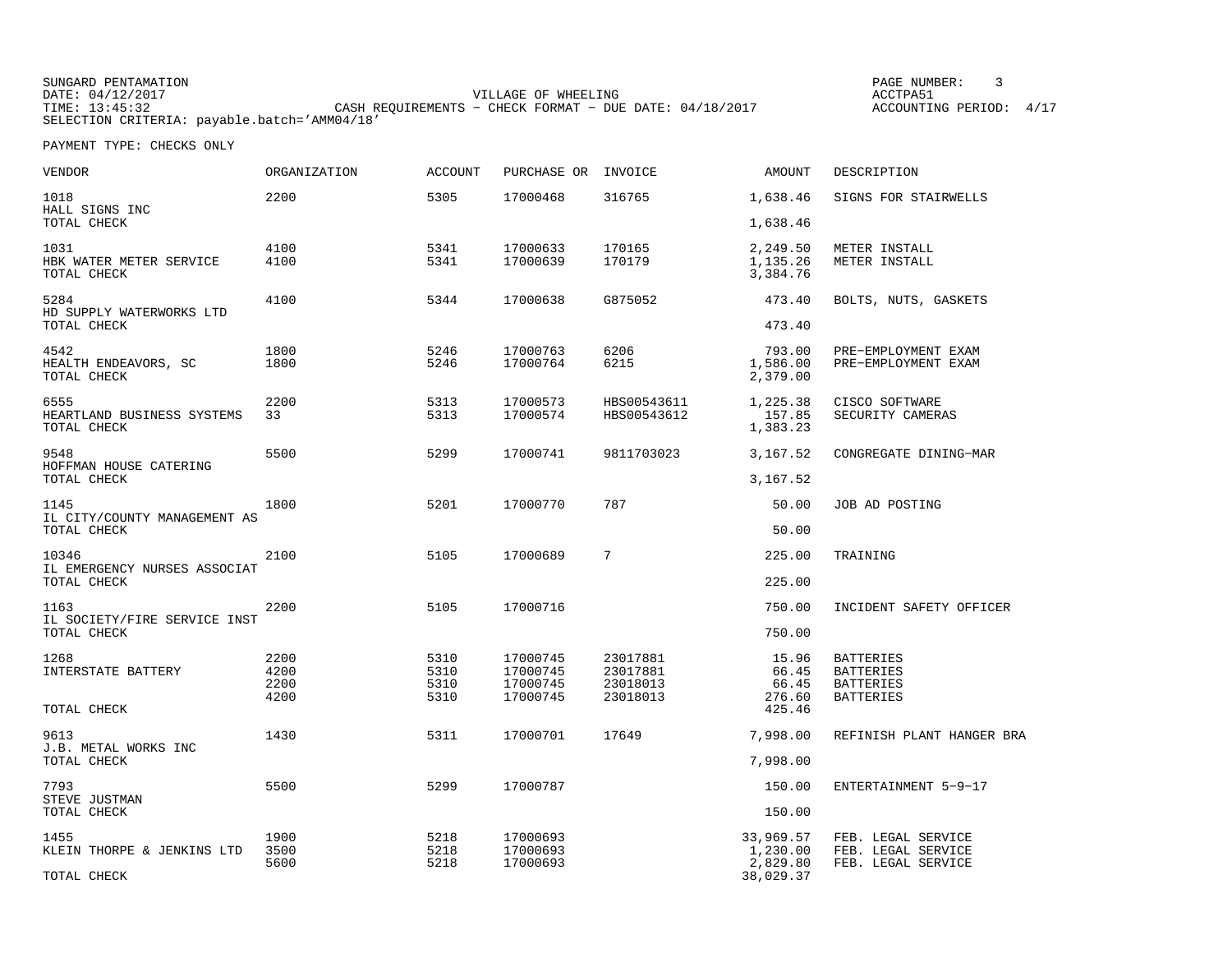| SUNGARD PENTAMATION                          |                                                           | PAGE NUMBER:               |
|----------------------------------------------|-----------------------------------------------------------|----------------------------|
| DATE: 04/12/2017                             | VILLAGE OF WHEELING                                       | ACCTPA51                   |
| TIME: 13:45:32                               | CASH REOUIREMENTS - CHECK FORMAT - DUE DATE: $04/18/2017$ | 4/17<br>ACCOUNTING PERIOD: |
| SELECTION CRITERIA: payable.batch='AMM04/18' |                                                           |                            |

| VENDOR                                            | ORGANIZATION                 | <b>ACCOUNT</b>               | PURCHASE OR                                  | INVOICE                                      | AMOUNT                            | DESCRIPTION                                                                  |
|---------------------------------------------------|------------------------------|------------------------------|----------------------------------------------|----------------------------------------------|-----------------------------------|------------------------------------------------------------------------------|
| 1018<br>HALL SIGNS INC                            | 2200                         | 5305                         | 17000468                                     | 316765                                       | 1,638.46                          | SIGNS FOR STAIRWELLS                                                         |
| TOTAL CHECK                                       |                              |                              |                                              |                                              | 1,638.46                          |                                                                              |
| 1031<br>HBK WATER METER SERVICE<br>TOTAL CHECK    | 4100<br>4100                 | 5341<br>5341                 | 17000633<br>17000639                         | 170165<br>170179                             | 2,249.50<br>1,135.26<br>3,384.76  | METER INSTALL<br>METER INSTALL                                               |
| 5284<br>HD SUPPLY WATERWORKS LTD<br>TOTAL CHECK   | 4100                         | 5344                         | 17000638                                     | G875052                                      | 473.40<br>473.40                  | BOLTS, NUTS, GASKETS                                                         |
|                                                   |                              |                              |                                              |                                              |                                   |                                                                              |
| 4542<br>HEALTH ENDEAVORS, SC<br>TOTAL CHECK       | 1800<br>1800                 | 5246<br>5246                 | 17000763<br>17000764                         | 6206<br>6215                                 | 793.00<br>1,586.00<br>2,379.00    | PRE-EMPLOYMENT EXAM<br>PRE-EMPLOYMENT EXAM                                   |
| 6555<br>HEARTLAND BUSINESS SYSTEMS<br>TOTAL CHECK | 2200<br>33                   | 5313<br>5313                 | 17000573<br>17000574                         | HBS00543611<br>HBS00543612                   | 1,225.38<br>157.85<br>1,383.23    | CISCO SOFTWARE<br>SECURITY CAMERAS                                           |
| 9548<br>HOFFMAN HOUSE CATERING                    | 5500                         | 5299                         | 17000741                                     | 9811703023                                   | 3,167.52                          | CONGREGATE DINING-MAR                                                        |
| TOTAL CHECK                                       |                              |                              |                                              |                                              | 3,167.52                          |                                                                              |
| 1145<br>IL CITY/COUNTY MANAGEMENT AS              | 1800                         | 5201                         | 17000770                                     | 787                                          | 50.00                             | JOB AD POSTING                                                               |
| TOTAL CHECK                                       |                              |                              |                                              |                                              | 50.00                             |                                                                              |
| 10346<br>IL EMERGENCY NURSES ASSOCIAT             | 2100                         | 5105                         | 17000689                                     | 7                                            | 225.00                            | TRAINING                                                                     |
| TOTAL CHECK                                       |                              |                              |                                              |                                              | 225.00                            |                                                                              |
| 1163<br>IL SOCIETY/FIRE SERVICE INST              | 2200                         | 5105                         | 17000716                                     |                                              | 750.00                            | INCIDENT SAFETY OFFICER                                                      |
| TOTAL CHECK                                       |                              |                              |                                              |                                              | 750.00                            |                                                                              |
| 1268<br>INTERSTATE BATTERY                        | 2200<br>4200<br>2200<br>4200 | 5310<br>5310<br>5310<br>5310 | 17000745<br>17000745<br>17000745<br>17000745 | 23017881<br>23017881<br>23018013<br>23018013 | 15.96<br>66.45<br>66.45<br>276.60 | <b>BATTERIES</b><br><b>BATTERIES</b><br><b>BATTERIES</b><br><b>BATTERIES</b> |
| TOTAL CHECK                                       |                              |                              |                                              |                                              | 425.46                            |                                                                              |
| 9613<br>J.B. METAL WORKS INC                      | 1430                         | 5311                         | 17000701                                     | 17649                                        | 7,998.00                          | REFINISH PLANT HANGER BRA                                                    |
| TOTAL CHECK                                       |                              |                              |                                              |                                              | 7,998.00                          |                                                                              |
| 7793<br>STEVE JUSTMAN                             | 5500                         | 5299                         | 17000787                                     |                                              | 150.00                            | ENTERTAINMENT 5-9-17                                                         |
| TOTAL CHECK                                       |                              |                              |                                              |                                              | 150.00                            |                                                                              |
| 1455<br>KLEIN THORPE & JENKINS LTD                | 1900<br>3500<br>5600         | 5218<br>5218<br>5218         | 17000693<br>17000693<br>17000693             |                                              | 33,969.57<br>1,230.00<br>2,829.80 | FEB. LEGAL SERVICE<br>FEB. LEGAL SERVICE<br>FEB. LEGAL SERVICE               |
| TOTAL CHECK                                       |                              |                              |                                              |                                              | 38,029.37                         |                                                                              |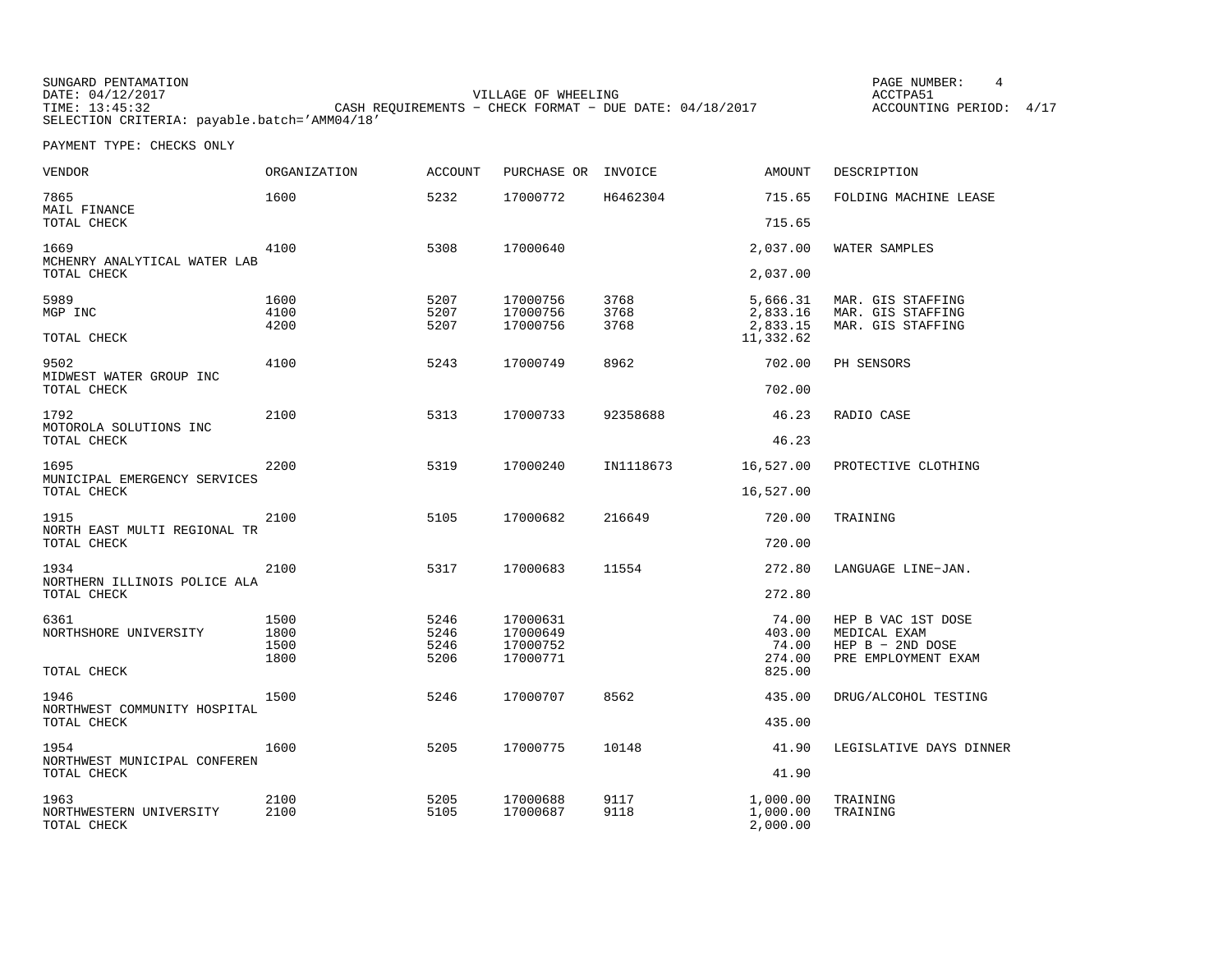| SUNGARD PENTAMATION                          |                                                           |                     | PAGE NUMBER:            |  |
|----------------------------------------------|-----------------------------------------------------------|---------------------|-------------------------|--|
| DATE: 04/12/2017                             |                                                           | VILLAGE OF WHEELING | ACCTPA51                |  |
| TIME: 13:45:32                               | CASH REQUIREMENTS - CHECK FORMAT - DUE DATE: $04/18/2017$ |                     | ACCOUNTING PERIOD: 4/17 |  |
| SELECTION CRITERIA: payable.batch='AMM04/18' |                                                           |                     |                         |  |

| VENDOR                                 | <b>ORGANIZATION</b> | <b>ACCOUNT</b> | PURCHASE OR          | INVOICE   | <b>AMOUNT</b>         | DESCRIPTION                        |
|----------------------------------------|---------------------|----------------|----------------------|-----------|-----------------------|------------------------------------|
| 7865<br>MAIL FINANCE                   | 1600                | 5232           | 17000772             | H6462304  | 715.65                | FOLDING MACHINE LEASE              |
| TOTAL CHECK                            |                     |                |                      |           | 715.65                |                                    |
| 1669<br>MCHENRY ANALYTICAL WATER LAB   | 4100                | 5308           | 17000640             |           | 2,037.00              | WATER SAMPLES                      |
| TOTAL CHECK                            |                     |                |                      |           | 2,037.00              |                                    |
| 5989                                   | 1600                | 5207           | 17000756             | 3768      | 5,666.31              | MAR. GIS STAFFING                  |
| MGP INC                                | 4100                | 5207           | 17000756             | 3768      | 2,833.16              | MAR. GIS STAFFING                  |
| TOTAL CHECK                            | 4200                | 5207           | 17000756             | 3768      | 2,833.15<br>11,332.62 | MAR. GIS STAFFING                  |
| 9502                                   | 4100                | 5243           | 17000749             | 8962      | 702.00                | PH SENSORS                         |
| MIDWEST WATER GROUP INC<br>TOTAL CHECK |                     |                |                      |           | 702.00                |                                    |
| 1792<br>MOTOROLA SOLUTIONS INC         | 2100                | 5313           | 17000733             | 92358688  | 46.23                 | RADIO CASE                         |
| TOTAL CHECK                            |                     |                |                      |           | 46.23                 |                                    |
| 1695<br>MUNICIPAL EMERGENCY SERVICES   | 2200                | 5319           | 17000240             | IN1118673 | 16,527.00             | PROTECTIVE CLOTHING                |
| TOTAL CHECK                            |                     |                |                      |           | 16,527.00             |                                    |
| 1915<br>NORTH EAST MULTI REGIONAL TR   | 2100                | 5105           | 17000682             | 216649    | 720.00                | TRAINING                           |
| TOTAL CHECK                            |                     |                |                      |           | 720.00                |                                    |
| 1934<br>NORTHERN ILLINOIS POLICE ALA   | 2100                | 5317           | 17000683             | 11554     | 272.80                | LANGUAGE LINE-JAN.                 |
| TOTAL CHECK                            |                     |                |                      |           | 272.80                |                                    |
| 6361<br>NORTHSHORE UNIVERSITY          | 1500<br>1800        | 5246<br>5246   | 17000631<br>17000649 |           | 74.00                 | HEP B VAC 1ST DOSE                 |
|                                        | 1500                | 5246           | 17000752             |           | 403.00<br>74.00       | MEDICAL EXAM<br>HEP $B - 2ND$ DOSE |
|                                        | 1800                | 5206           | 17000771             |           | 274.00                | PRE EMPLOYMENT EXAM                |
| TOTAL CHECK                            |                     |                |                      |           | 825.00                |                                    |
| 1946<br>NORTHWEST COMMUNITY HOSPITAL   | 1500                | 5246           | 17000707             | 8562      | 435.00                | DRUG/ALCOHOL TESTING               |
| TOTAL CHECK                            |                     |                |                      |           | 435.00                |                                    |
| 1954<br>NORTHWEST MUNICIPAL CONFEREN   | 1600                | 5205           | 17000775             | 10148     | 41.90                 | LEGISLATIVE DAYS DINNER            |
| TOTAL CHECK                            |                     |                |                      |           | 41.90                 |                                    |
| 1963                                   | 2100                | 5205           | 17000688             | 9117      | 1,000.00              | TRAINING                           |
| NORTHWESTERN UNIVERSITY<br>TOTAL CHECK | 2100                | 5105           | 17000687             | 9118      | 1,000.00<br>2,000.00  | TRAINING                           |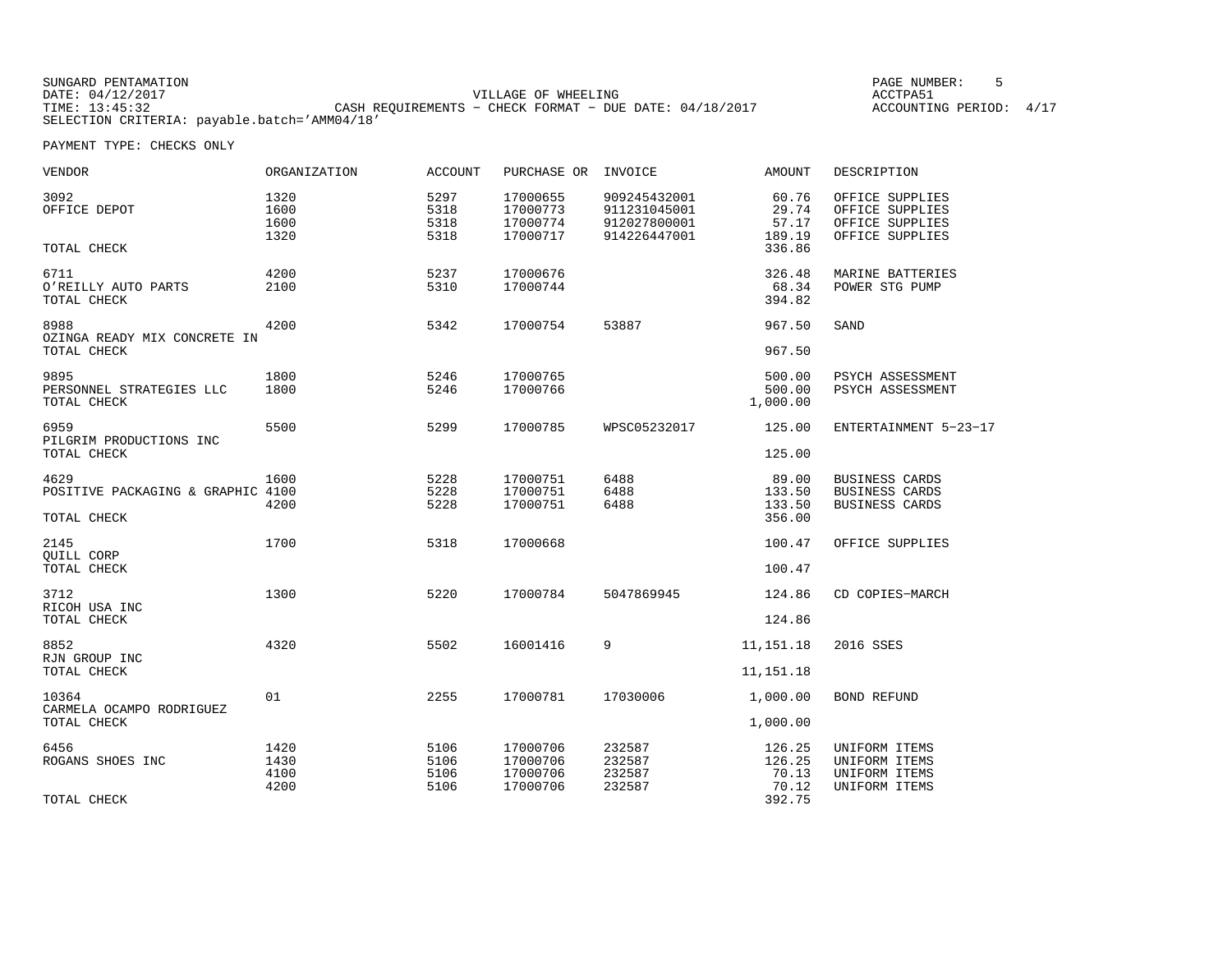| SUNGARD PENTAMATION                          |                                                           |                     |  | PAGE NUMBER:            |  |
|----------------------------------------------|-----------------------------------------------------------|---------------------|--|-------------------------|--|
| DATE: 04/12/2017                             |                                                           | VILLAGE OF WHEELING |  | ACCTPA51                |  |
| TIME: 13:45:32                               | CASH REOUIREMENTS - CHECK FORMAT - DUE DATE: $04/18/2017$ |                     |  | ACCOUNTING PERIOD: 4/17 |  |
| SELECTION CRITERIA: payable.batch='AMM04/18' |                                                           |                     |  |                         |  |

| <b>VENDOR</b>                                       | <b>ORGANIZATION</b>          | <b>ACCOUNT</b>               | PURCHASE OR                                  | INVOICE                                                      | <b>AMOUNT</b>                                | DESCRIPTION                                                              |
|-----------------------------------------------------|------------------------------|------------------------------|----------------------------------------------|--------------------------------------------------------------|----------------------------------------------|--------------------------------------------------------------------------|
| 3092<br>OFFICE DEPOT                                | 1320<br>1600<br>1600<br>1320 | 5297<br>5318<br>5318<br>5318 | 17000655<br>17000773<br>17000774<br>17000717 | 909245432001<br>911231045001<br>912027800001<br>914226447001 | 60.76<br>29.74<br>57.17<br>189.19            | OFFICE SUPPLIES<br>OFFICE SUPPLIES<br>OFFICE SUPPLIES<br>OFFICE SUPPLIES |
| TOTAL CHECK                                         |                              |                              |                                              |                                                              | 336.86                                       |                                                                          |
| 6711<br>O'REILLY AUTO PARTS<br>TOTAL CHECK          | 4200<br>2100                 | 5237<br>5310                 | 17000676<br>17000744                         |                                                              | 326.48<br>68.34<br>394.82                    | MARINE BATTERIES<br>POWER STG PUMP                                       |
| 8988<br>OZINGA READY MIX CONCRETE IN<br>TOTAL CHECK | 4200                         | 5342                         | 17000754                                     | 53887                                                        | 967.50<br>967.50                             | SAND                                                                     |
| 9895<br>PERSONNEL STRATEGIES LLC<br>TOTAL CHECK     | 1800<br>1800                 | 5246<br>5246                 | 17000765<br>17000766                         |                                                              | 500.00<br>500.00<br>1,000.00                 | PSYCH ASSESSMENT<br>PSYCH ASSESSMENT                                     |
| 6959<br>PILGRIM PRODUCTIONS INC<br>TOTAL CHECK      | 5500                         | 5299                         | 17000785                                     | WPSC05232017                                                 | 125.00<br>125.00                             | ENTERTAINMENT 5-23-17                                                    |
| 4629<br>POSITIVE PACKAGING & GRAPHIC 4100           | 1600<br>4200                 | 5228<br>5228<br>5228         | 17000751<br>17000751<br>17000751             | 6488<br>6488<br>6488                                         | 89.00<br>133.50<br>133.50                    | <b>BUSINESS CARDS</b><br><b>BUSINESS CARDS</b><br>BUSINESS CARDS         |
| TOTAL CHECK                                         |                              |                              |                                              |                                                              | 356.00                                       |                                                                          |
| 2145<br>OUILL CORP<br>TOTAL CHECK                   | 1700                         | 5318                         | 17000668                                     |                                                              | 100.47<br>100.47                             | OFFICE SUPPLIES                                                          |
| 3712<br>RICOH USA INC<br>TOTAL CHECK                | 1300                         | 5220                         | 17000784                                     | 5047869945                                                   | 124.86<br>124.86                             | CD COPIES-MARCH                                                          |
| 8852<br>RJN GROUP INC<br>TOTAL CHECK                | 4320                         | 5502                         | 16001416                                     | 9                                                            | 11, 151. 18<br>11,151.18                     | 2016 SSES                                                                |
| 10364<br>CARMELA OCAMPO RODRIGUEZ<br>TOTAL CHECK    | 01                           | 2255                         | 17000781                                     | 17030006                                                     | 1,000.00<br>1,000.00                         | <b>BOND REFUND</b>                                                       |
| 6456<br>ROGANS SHOES INC<br>TOTAL CHECK             | 1420<br>1430<br>4100<br>4200 | 5106<br>5106<br>5106<br>5106 | 17000706<br>17000706<br>17000706<br>17000706 | 232587<br>232587<br>232587<br>232587                         | 126.25<br>126.25<br>70.13<br>70.12<br>392.75 | UNIFORM ITEMS<br>UNIFORM ITEMS<br>UNIFORM ITEMS<br>UNIFORM ITEMS         |
|                                                     |                              |                              |                                              |                                                              |                                              |                                                                          |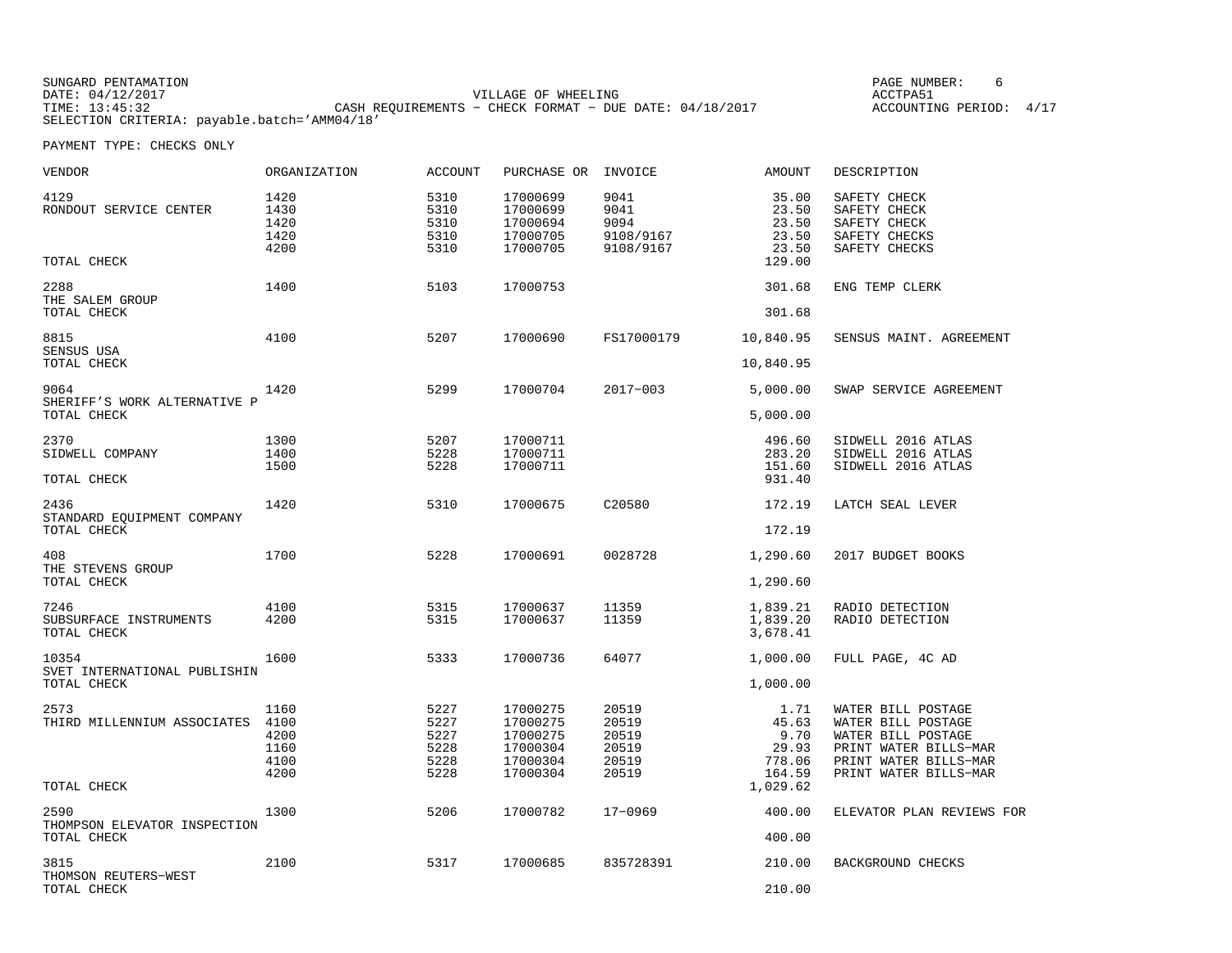| SUNGARD PENTAMATION                          |                                                           | PAGE NUMBER:            |
|----------------------------------------------|-----------------------------------------------------------|-------------------------|
| DATE: 04/12/2017                             | VILLAGE OF WHEELING                                       | ACCTPA51                |
| TIME: 13:45:32                               | CASH REQUIREMENTS - CHECK FORMAT - DUE DATE: $04/18/2017$ | ACCOUNTING PERIOD: 4/17 |
| SELECTION CRITERIA: payable.batch='AMM04/18' |                                                           |                         |

| VENDOR                                        | <b>ORGANIZATION</b>                          | <b>ACCOUNT</b>                               | PURCHASE OR                                                          | INVOICE                                            | <b>AMOUNT</b>                                      | DESCRIPTION                                                                                                                               |
|-----------------------------------------------|----------------------------------------------|----------------------------------------------|----------------------------------------------------------------------|----------------------------------------------------|----------------------------------------------------|-------------------------------------------------------------------------------------------------------------------------------------------|
| 4129<br>RONDOUT SERVICE CENTER                | 1420<br>1430<br>1420<br>1420<br>4200         | 5310<br>5310<br>5310<br>5310<br>5310         | 17000699<br>17000699<br>17000694<br>17000705<br>17000705             | 9041<br>9041<br>9094<br>9108/9167<br>9108/9167     | 35.00<br>23.50<br>23.50<br>23.50<br>23.50          | SAFETY CHECK<br>SAFETY CHECK<br>SAFETY CHECK<br>SAFETY CHECKS<br>SAFETY CHECKS                                                            |
| TOTAL CHECK                                   |                                              |                                              |                                                                      |                                                    | 129.00                                             |                                                                                                                                           |
| 2288<br>THE SALEM GROUP<br>TOTAL CHECK        | 1400                                         | 5103                                         | 17000753                                                             |                                                    | 301.68<br>301.68                                   | ENG TEMP CLERK                                                                                                                            |
|                                               |                                              |                                              |                                                                      |                                                    |                                                    |                                                                                                                                           |
| 8815<br>SENSUS USA<br>TOTAL CHECK             | 4100                                         | 5207                                         | 17000690                                                             | FS17000179                                         | 10,840.95<br>10,840.95                             | SENSUS MAINT. AGREEMENT                                                                                                                   |
|                                               |                                              |                                              |                                                                      |                                                    |                                                    |                                                                                                                                           |
| 9064<br>SHERIFF'S WORK ALTERNATIVE P          | 1420                                         | 5299                                         | 17000704                                                             | $2017 - 003$                                       | 5,000.00                                           | SWAP SERVICE AGREEMENT                                                                                                                    |
| TOTAL CHECK                                   |                                              |                                              |                                                                      |                                                    | 5,000.00                                           |                                                                                                                                           |
| 2370<br>SIDWELL COMPANY                       | 1300<br>1400<br>1500                         | 5207<br>5228<br>5228                         | 17000711<br>17000711<br>17000711                                     |                                                    | 496.60<br>283.20<br>151.60                         | SIDWELL 2016 ATLAS<br>SIDWELL 2016 ATLAS<br>SIDWELL 2016 ATLAS                                                                            |
| TOTAL CHECK                                   |                                              |                                              |                                                                      |                                                    | 931.40                                             |                                                                                                                                           |
| 2436<br>STANDARD EQUIPMENT COMPANY            | 1420                                         | 5310                                         | 17000675                                                             | C20580                                             | 172.19                                             | LATCH SEAL LEVER                                                                                                                          |
| TOTAL CHECK                                   |                                              |                                              |                                                                      |                                                    | 172.19                                             |                                                                                                                                           |
| 408<br>THE STEVENS GROUP<br>TOTAL CHECK       | 1700                                         | 5228                                         | 17000691                                                             | 0028728                                            | 1,290.60<br>1,290.60                               | 2017 BUDGET BOOKS                                                                                                                         |
|                                               |                                              |                                              |                                                                      |                                                    |                                                    |                                                                                                                                           |
| 7246<br>SUBSURFACE INSTRUMENTS<br>TOTAL CHECK | 4100<br>4200                                 | 5315<br>5315                                 | 17000637<br>17000637                                                 | 11359<br>11359                                     | 1,839.21<br>1,839.20<br>3,678.41                   | RADIO DETECTION<br>RADIO DETECTION                                                                                                        |
| 10354<br>SVET INTERNATIONAL PUBLISHIN         | 1600                                         | 5333                                         | 17000736                                                             | 64077                                              | 1,000.00                                           | FULL PAGE, 4C AD                                                                                                                          |
| TOTAL CHECK                                   |                                              |                                              |                                                                      |                                                    | 1,000.00                                           |                                                                                                                                           |
| 2573<br>THIRD MILLENNIUM ASSOCIATES           | 1160<br>4100<br>4200<br>1160<br>4100<br>4200 | 5227<br>5227<br>5227<br>5228<br>5228<br>5228 | 17000275<br>17000275<br>17000275<br>17000304<br>17000304<br>17000304 | 20519<br>20519<br>20519<br>20519<br>20519<br>20519 | 1.71<br>45.63<br>9.70<br>29.93<br>778.06<br>164.59 | WATER BILL POSTAGE<br>WATER BILL POSTAGE<br>WATER BILL POSTAGE<br>PRINT WATER BILLS-MAR<br>PRINT WATER BILLS-MAR<br>PRINT WATER BILLS-MAR |
| TOTAL CHECK                                   |                                              |                                              |                                                                      |                                                    | 1,029.62                                           |                                                                                                                                           |
| 2590<br>THOMPSON ELEVATOR INSPECTION          | 1300                                         | 5206                                         | 17000782                                                             | $17 - 0969$                                        | 400.00                                             | ELEVATOR PLAN REVIEWS FOR                                                                                                                 |
| TOTAL CHECK                                   |                                              |                                              |                                                                      |                                                    | 400.00                                             |                                                                                                                                           |
| 3815<br>THOMSON REUTERS-WEST                  | 2100                                         | 5317                                         | 17000685                                                             | 835728391                                          | 210.00                                             | BACKGROUND CHECKS                                                                                                                         |
| TOTAL CHECK                                   |                                              |                                              |                                                                      |                                                    | 210.00                                             |                                                                                                                                           |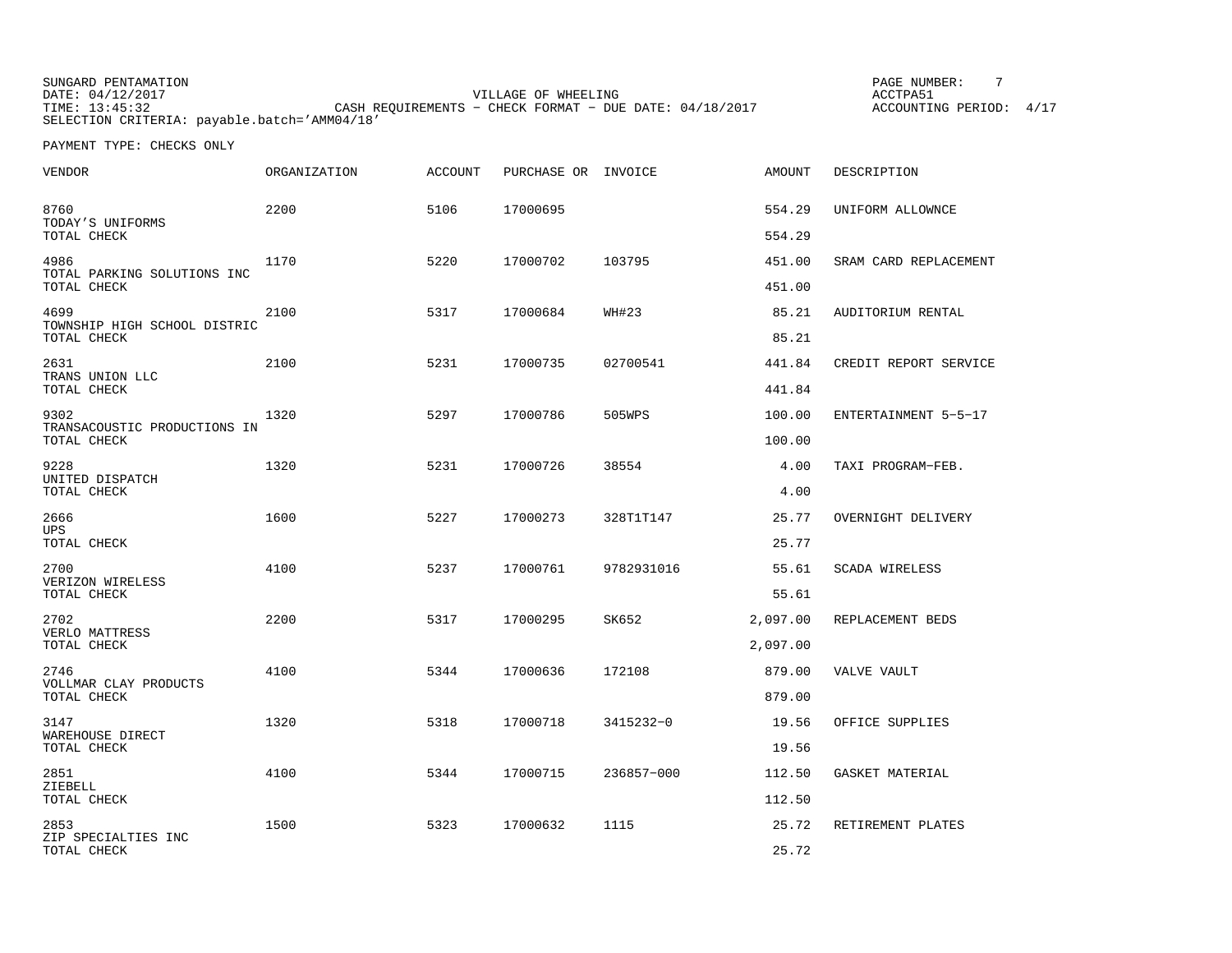SUNGARD PENTAMATION **PAGE NUMBER:** 7 DATE: 04/12/2017 VILLAGE OF WHEELING ACCTPA51TIME: 13:45:32 CASH REQUIREMENTS − CHECK FORMAT − DUE DATE: 04/18/2017 SELECTION CRITERIA: payable.batch='AMM04/18'

ACCOUNTING PERIOD: 4/17

| VENDOR                                              | <b>ORGANIZATION</b> | <b>ACCOUNT</b> | PURCHASE OR INVOICE |            | <b>AMOUNT</b>    | DESCRIPTION           |
|-----------------------------------------------------|---------------------|----------------|---------------------|------------|------------------|-----------------------|
| 8760<br>TODAY'S UNIFORMS                            | 2200                | 5106           | 17000695            |            | 554.29           | UNIFORM ALLOWNCE      |
| TOTAL CHECK                                         |                     |                |                     |            | 554.29           |                       |
| 4986<br>TOTAL PARKING SOLUTIONS INC<br>TOTAL CHECK  | 1170                | 5220           | 17000702            | 103795     | 451.00<br>451.00 | SRAM CARD REPLACEMENT |
| 4699<br>TOWNSHIP HIGH SCHOOL DISTRIC<br>TOTAL CHECK | 2100                | 5317           | 17000684            | WH#23      | 85.21<br>85.21   | AUDITORIUM RENTAL     |
|                                                     |                     |                |                     |            |                  |                       |
| 2631<br>TRANS UNION LLC<br>TOTAL CHECK              | 2100                | 5231           | 17000735            | 02700541   | 441.84<br>441.84 | CREDIT REPORT SERVICE |
| 9302                                                | 1320                | 5297           | 17000786            | 505WPS     | 100.00           | ENTERTAINMENT 5-5-17  |
| TRANSACOUSTIC PRODUCTIONS IN<br>TOTAL CHECK         |                     |                |                     |            | 100.00           |                       |
| 9228<br>UNITED DISPATCH<br>TOTAL CHECK              | 1320                | 5231           | 17000726            | 38554      | 4.00<br>4.00     | TAXI PROGRAM-FEB.     |
| 2666<br><b>UPS</b>                                  | 1600                | 5227           | 17000273            | 328T1T147  | 25.77            | OVERNIGHT DELIVERY    |
| TOTAL CHECK                                         |                     |                |                     |            | 25.77            |                       |
| 2700<br>VERIZON WIRELESS<br>TOTAL CHECK             | 4100                | 5237           | 17000761            | 9782931016 | 55.61<br>55.61   | <b>SCADA WIRELESS</b> |
| 2702                                                | 2200                | 5317           | 17000295            | SK652      | 2,097.00         | REPLACEMENT BEDS      |
| VERLO MATTRESS<br>TOTAL CHECK                       |                     |                |                     |            | 2,097.00         |                       |
| 2746                                                | 4100                | 5344           | 17000636            | 172108     | 879.00           | VALVE VAULT           |
| VOLLMAR CLAY PRODUCTS<br>TOTAL CHECK                |                     |                |                     |            | 879.00           |                       |
| 3147<br>WAREHOUSE DIRECT                            | 1320                | 5318           | 17000718            | 3415232-0  | 19.56            | OFFICE SUPPLIES       |
| TOTAL CHECK                                         |                     |                |                     |            | 19.56            |                       |
| 2851<br>ZIEBELL<br>TOTAL CHECK                      | 4100                | 5344           | 17000715            | 236857-000 | 112.50<br>112.50 | GASKET MATERIAL       |
| 2853                                                | 1500                | 5323           | 17000632            | 1115       |                  |                       |
| ZIP SPECIALTIES INC<br>TOTAL CHECK                  |                     |                |                     |            | 25.72<br>25.72   | RETIREMENT PLATES     |